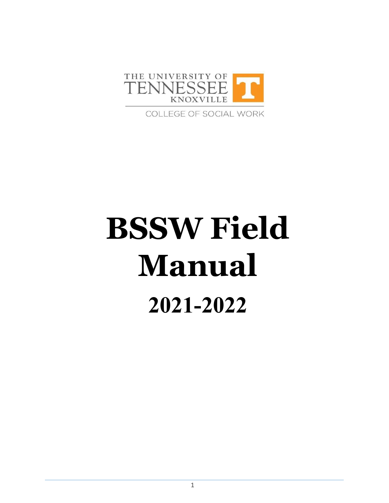

COLLEGE OF SOCIAL WORK

# **BSSW Field Manual 2021-2022**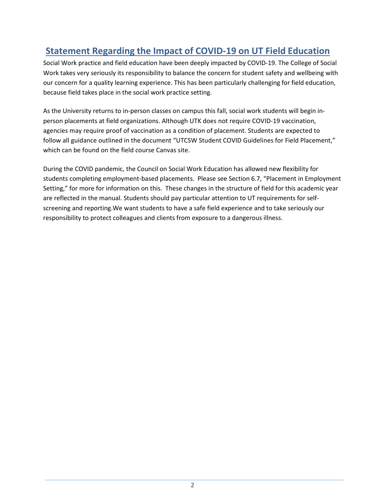# <span id="page-1-0"></span>**Statement Regarding the Impact of COVID-19 on UT Field Education**

Social Work practice and field education have been deeply impacted by COVID-19. The College of Social Work takes very seriously its responsibility to balance the concern for student safety and wellbeing with our concern for a quality learning experience. This has been particularly challenging for field education, because field takes place in the social work practice setting.

As the University returns to in-person classes on campus this fall, social work students will begin inperson placements at field organizations. Although UTK does not require COVID-19 vaccination, agencies may require proof of vaccination as a condition of placement. Students are expected to follow all guidance outlined in the document "UTCSW Student COVID Guidelines for Field Placement," which can be found on the field course Canvas site.

During the COVID pandemic, the Council on Social Work Education has allowed new flexibility for students completing employment-based placements. Please see Section 6.7, "Placement in Employment Setting," for more for information on this. These changes in the structure of field for this academic year are reflected in the manual. Students should pay particular attention to UT requirements for selfscreening and reporting.We want students to have a safe field experience and to take seriously our responsibility to protect colleagues and clients from exposure to a dangerous illness.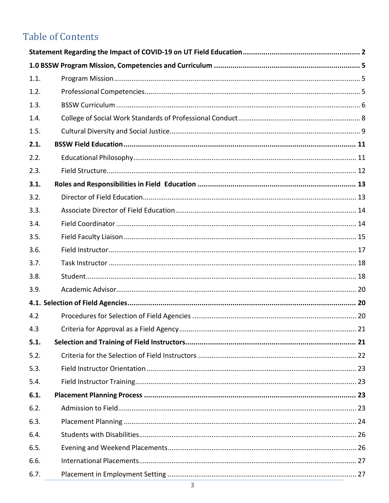# **Table of Contents**

| 1.1. |  |
|------|--|
| 1.2. |  |
| 1.3. |  |
| 1.4. |  |
| 1.5. |  |
| 2.1. |  |
| 2.2. |  |
| 2.3. |  |
| 3.1. |  |
| 3.2. |  |
| 3.3. |  |
| 3.4. |  |
| 3.5. |  |
| 3.6. |  |
| 3.7. |  |
| 3.8. |  |
| 3.9. |  |
|      |  |
| 4.2  |  |
| 4.3  |  |
| 5.1. |  |
| 5.2. |  |
| 5.3. |  |
| 5.4. |  |
| 6.1. |  |
| 6.2. |  |
| 6.3. |  |
| 6.4. |  |
| 6.5. |  |
| 6.6. |  |
| 6.7. |  |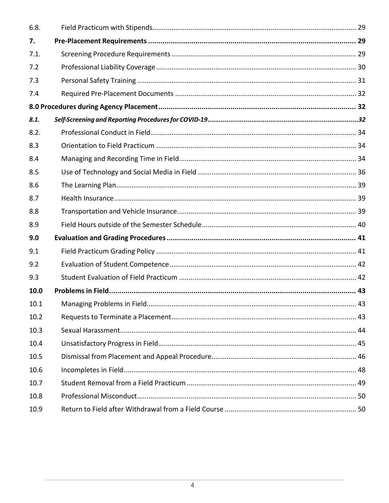| 6.8. |  |
|------|--|
| 7.   |  |
| 7.1. |  |
| 7.2  |  |
| 7.3  |  |
| 7.4  |  |
|      |  |
| 8.1. |  |
| 8.2. |  |
| 8.3  |  |
| 8.4  |  |
| 8.5  |  |
| 8.6  |  |
| 8.7  |  |
| 8.8  |  |
| 8.9  |  |
| 9.0  |  |
| 9.1  |  |
| 9.2  |  |
| 9.3  |  |
| 10.0 |  |
| 10.1 |  |
| 10.2 |  |
| 10.3 |  |
| 10.4 |  |
| 10.5 |  |
| 10.6 |  |
| 10.7 |  |
| 10.8 |  |
| 10.9 |  |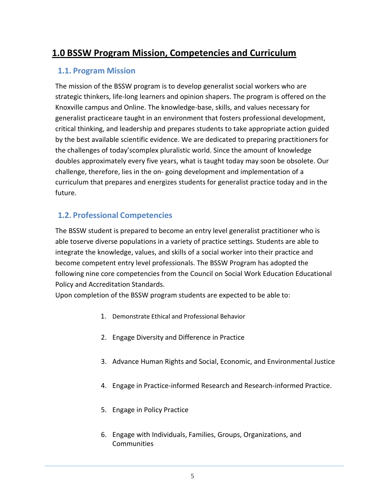# <span id="page-4-1"></span><span id="page-4-0"></span>**1.0 BSSW Program Mission, Competencies and Curriculum**

#### **1.1. Program Mission**

The mission of the BSSW program is to develop generalist social workers who are strategic thinkers, life-long learners and opinion shapers. The program is offered on the Knoxville campus and Online. The knowledge-base, skills, and values necessary for generalist practiceare taught in an environment that fosters professional development, critical thinking, and leadership and prepares students to take appropriate action guided by the best available scientific evidence. We are dedicated to preparing practitioners for the challenges of today'scomplex pluralistic world. Since the amount of knowledge doubles approximately every five years, what is taught today may soon be obsolete. Our challenge, therefore, lies in the on- going development and implementation of a curriculum that prepares and energizes students for generalist practice today and in the future.

## <span id="page-4-2"></span>**1.2. Professional Competencies**

The BSSW student is prepared to become an entry level generalist practitioner who is able toserve diverse populations in a variety of practice settings. Students are able to integrate the knowledge, values, and skills of a social worker into their practice and become competent entry level professionals. The BSSW Program has adopted the following nine core competencies from the Council on Social Work Education Educational Policy and Accreditation Standards.

Upon completion of the BSSW program students are expected to be able to:

- 1. Demonstrate Ethical and Professional Behavior
- 2. Engage Diversity and Difference in Practice
- 3. Advance Human Rights and Social, Economic, and Environmental Justice
- 4. Engage in Practice-informed Research and Research-informed Practice.
- 5. Engage in Policy Practice
- 6. Engage with Individuals, Families, Groups, Organizations, and **Communities**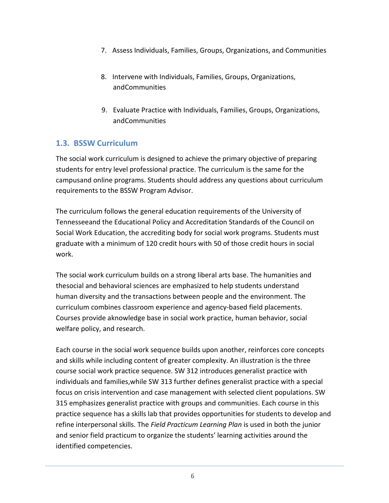- 7. Assess Individuals, Families, Groups, Organizations, and Communities
- 8. Intervene with Individuals, Families, Groups, Organizations, andCommunities
- 9. Evaluate Practice with Individuals, Families, Groups, Organizations, andCommunities

## <span id="page-5-0"></span>**1.3. BSSW Curriculum**

The social work curriculum is designed to achieve the primary objective of preparing students for entry level professional practice. The curriculum is the same for the campusand online programs. Students should address any questions about curriculum requirements to the BSSW Program Advisor.

The curriculum follows the general education requirements of the University of Tennesseeand the Educational Policy and Accreditation Standards of the Council on Social Work Education, the accrediting body for social work programs. Students must graduate with a minimum of 120 credit hours with 50 of those credit hours in social work.

The social work curriculum builds on a strong liberal arts base. The humanities and thesocial and behavioral sciences are emphasized to help students understand human diversity and the transactions between people and the environment. The curriculum combines classroom experience and agency-based field placements. Courses provide aknowledge base in social work practice, human behavior, social welfare policy, and research.

Each course in the social work sequence builds upon another, reinforces core concepts and skills while including content of greater complexity. An illustration is the three course social work practice sequence. SW 312 introduces generalist practice with individuals and families,while SW 313 further defines generalist practice with a special focus on crisis intervention and case management with selected client populations. SW 315 emphasizes generalist practice with groups and communities. Each course in this practice sequence has a skills lab that provides opportunities for students to develop and refine interpersonal skills. The *Field Practicum Learning Plan* is used in both the junior and senior field practicum to organize the students' learning activities around the identified competencies.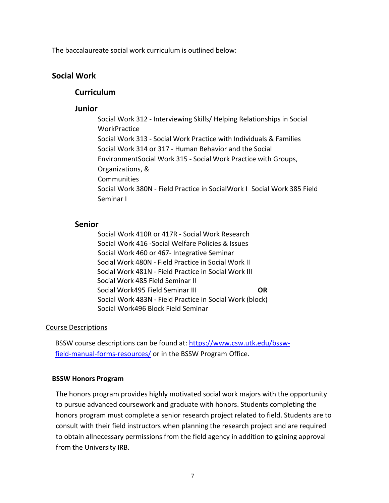The baccalaureate social work curriculum is outlined below:

#### **Social Work**

#### **Curriculum**

#### **Junior**

Social Work 312 - Interviewing Skills/ Helping Relationships in Social **WorkPractice** Social Work 313 - Social Work Practice with Individuals & Families Social Work 314 or 317 - Human Behavior and the Social EnvironmentSocial Work 315 - Social Work Practice with Groups, Organizations, & **Communities** Social Work 380N - Field Practice in SocialWork I Social Work 385 Field Seminar I

#### **Senior**

Social Work 410R or 417R - Social Work Research Social Work 416 -Social Welfare Policies & Issues Social Work 460 or 467- Integrative Seminar Social Work 480N - Field Practice in Social Work II Social Work 481N - Field Practice in Social Work III Social Work 485 Field Seminar II Social Work495 Field Seminar III **OR** Social Work 483N - Field Practice in Social Work (block) Social Work496 Block Field Seminar

#### Course Descriptions

BSSW course descriptions can be found at: [https://www.csw.utk.edu/bssw](https://www.csw.utk.edu/bssw-field-manual-forms-resources/)[field-manual-forms-resources/](https://www.csw.utk.edu/bssw-field-manual-forms-resources/) or in the BSSW Program Office.

#### **BSSW Honors Program**

The honors program provides highly motivated social work majors with the opportunity to pursue advanced coursework and graduate with honors. Students completing the honors program must complete a senior research project related to field. Students are to consult with their field instructors when planning the research project and are required to obtain allnecessary permissions from the field agency in addition to gaining approval from the University IRB.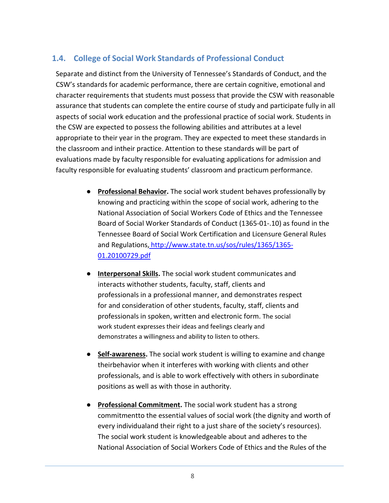## <span id="page-7-0"></span>**1.4. College of Social Work Standards of Professional Conduct**

Separate and distinct from the University of Tennessee's Standards of Conduct, and the CSW's standards for academic performance, there are certain cognitive, emotional and character requirements that students must possess that provide the CSW with reasonable assurance that students can complete the entire course of study and participate fully in all aspects of social work education and the professional practice of social work. Students in the CSW are expected to possess the following abilities and attributes at a level appropriate to their year in the program. They are expected to meet these standards in the classroom and intheir practice. Attention to these standards will be part of evaluations made by faculty responsible for evaluating applications for admission and faculty responsible for evaluating students' classroom and practicum performance.

- **Professional Behavior.** The social work student behaves professionally by knowing and practicing within the scope of social work, adhering to the National Association of Social Workers Code of Ethics and the Tennessee Board of Social Worker Standards of Conduct (1365-01-.10) as found in the Tennessee Board of Social Work Certification and Licensure General Rules and Regulations, [http://www.state.tn.us/sos/rules/1365/1365-](http://www.state.tn.us/sos/rules/1365/1365-01.20100729.pdf) [01.20100729.pdf](http://www.state.tn.us/sos/rules/1365/1365-01.20100729.pdf)
- **Interpersonal Skills.** The social work student communicates and interacts withother students, faculty, staff, clients and professionals in a professional manner, and demonstrates respect for and consideration of other students, faculty, staff, clients and professionals in spoken, written and electronic form. The social work student expresses their ideas and feelings clearly and demonstrates a willingness and ability to listen to others.
- **Self-awareness.** The social work student is willing to examine and change theirbehavior when it interferes with working with clients and other professionals, and is able to work effectively with others in subordinate positions as well as with those in authority.
- **Professional Commitment.** The social work student has a strong commitmentto the essential values of social work (the dignity and worth of every individualand their right to a just share of the society's resources). The social work student is knowledgeable about and adheres to the National Association of Social Workers Code of Ethics and the Rules of the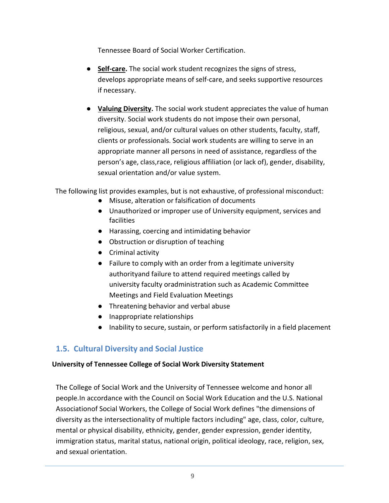Tennessee Board of Social Worker Certification.

- **Self-care.** The social work student recognizes the signs of stress, develops appropriate means of self-care, and seeks supportive resources if necessary.
- **Valuing Diversity.** The social work student appreciates the value of human diversity. Social work students do not impose their own personal, religious, sexual, and/or cultural values on other students, faculty, staff, clients or professionals. Social work students are willing to serve in an appropriate manner all persons in need of assistance, regardless of the person's age, class,race, religious affiliation (or lack of), gender, disability, sexual orientation and/or value system.

The following list provides examples, but is not exhaustive, of professional misconduct:

- Misuse, alteration or falsification of documents
- Unauthorized or improper use of University equipment, services and facilities
- Harassing, coercing and intimidating behavior
- Obstruction or disruption of teaching
- Criminal activity
- Failure to comply with an order from a legitimate university authorityand failure to attend required meetings called by university faculty oradministration such as Academic Committee Meetings and Field Evaluation Meetings
- Threatening behavior and verbal abuse
- Inappropriate relationships
- Inability to secure, sustain, or perform satisfactorily in a field placement

## <span id="page-8-0"></span>**1.5. Cultural Diversity and Social Justice**

#### **University of Tennessee College of Social Work Diversity Statement**

The College of Social Work and the University of Tennessee welcome and honor all people.In accordance with the Council on Social Work Education and the U.S. National Associationof Social Workers, the College of Social Work defines "the dimensions of diversity as the intersectionality of multiple factors including" age, class, color, culture, mental or physical disability, ethnicity, gender, gender expression, gender identity, immigration status, marital status, national origin, political ideology, race, religion, sex, and sexual orientation.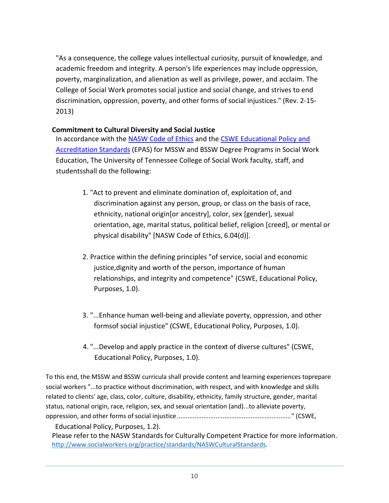"As a consequence, the college values intellectual curiosity, pursuit of knowledge, and academic freedom and integrity. A person's life experiences may include oppression, poverty, marginalization, and alienation as well as privilege, power, and acclaim. The College of Social Work promotes social justice and social change, and strives to end discrimination, oppression, poverty, and other forms of social injustices." (Rev. 2-15- 2013)

#### **Commitment to Cultural Diversity and Social Justice**

In accordance with the [NASW Code of Ethics](http://www.socialworkers.org/pubs/code/code.asp) and the [CSWE Educational Policy and](http://www.cswe.org/Accreditation/2008EPASDescription.aspx) [Accreditation Standards](http://www.cswe.org/Accreditation/2008EPASDescription.aspx) (EPAS) for MSSW and BSSW Degree Programs in Social Work Education, The University of Tennessee College of Social Work faculty, staff, and studentsshall do the following:

- 1. "Act to prevent and eliminate domination of, exploitation of, and discrimination against any person, group, or class on the basis of race, ethnicity, national origin[or ancestry], color, sex [gender], sexual orientation, age, marital status, political belief, religion [creed], or mental or physical disability" [NASW Code of Ethics, 6.04(d)].
- 2. Practice within the defining principles "of service, social and economic justice,dignity and worth of the person, importance of human relationships, and integrity and competence" (CSWE, Educational Policy, Purposes, 1.0).
- 3. "...Enhance human well-being and alleviate poverty, oppression, and other formsof social injustice" (CSWE, Educational Policy, Purposes, 1.0).
- 4. "...Develop and apply practice in the context of diverse cultures" (CSWE, Educational Policy, Purposes, 1.0).

To this end, the MSSW and BSSW curricula shall provide content and learning experiences toprepare social workers "...to practice without discrimination, with respect, and with knowledge and skills related to clients' age, class, color, culture, disability, ethnicity, family structure, gender, marital status, national origin, race, religion, sex, and sexual orientation (and)...to alleviate poverty, oppression, and other forms of social injustice................................................................." (CSWE,

Educational Policy, Purposes, 1.2).

Please refer to the NASW Standards for Culturally Competent Practice for more information. [http://www.socialworkers.org/practice/standards/NASWCulturalStandards.](http://www.socialworkers.org/practice/standards/NASWCulturalStandards)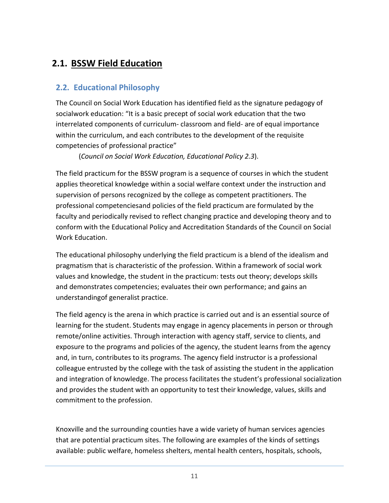# <span id="page-10-0"></span>**2.1. BSSW Field Education**

## <span id="page-10-1"></span>**2.2. Educational Philosophy**

The Council on Social Work Education has identified field as the signature pedagogy of socialwork education: "It is a basic precept of social work education that the two interrelated components of curriculum- classroom and field- are of equal importance within the curriculum, and each contributes to the development of the requisite competencies of professional practice"

(*Council on Social Work Education, Educational Policy 2.3*).

The field practicum for the BSSW program is a sequence of courses in which the student applies theoretical knowledge within a social welfare context under the instruction and supervision of persons recognized by the college as competent practitioners. The professional competenciesand policies of the field practicum are formulated by the faculty and periodically revised to reflect changing practice and developing theory and to conform with the Educational Policy and Accreditation Standards of the Council on Social Work Education.

The educational philosophy underlying the field practicum is a blend of the idealism and pragmatism that is characteristic of the profession. Within a framework of social work values and knowledge, the student in the practicum: tests out theory; develops skills and demonstrates competencies; evaluates their own performance; and gains an understandingof generalist practice.

The field agency is the arena in which practice is carried out and is an essential source of learning for the student. Students may engage in agency placements in person or through remote/online activities. Through interaction with agency staff, service to clients, and exposure to the programs and policies of the agency, the student learns from the agency and, in turn, contributes to its programs. The agency field instructor is a professional colleague entrusted by the college with the task of assisting the student in the application and integration of knowledge. The process facilitates the student's professional socialization and provides the student with an opportunity to test their knowledge, values, skills and commitment to the profession.

Knoxville and the surrounding counties have a wide variety of human services agencies that are potential practicum sites. The following are examples of the kinds of settings available: public welfare, homeless shelters, mental health centers, hospitals, schools,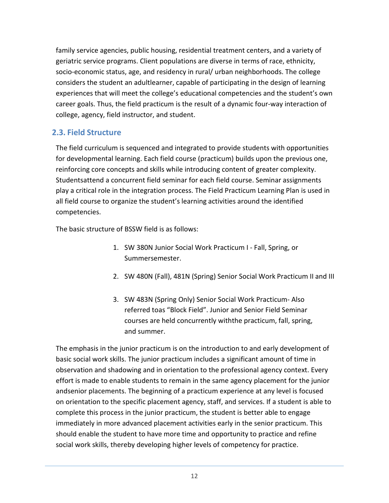family service agencies, public housing, residential treatment centers, and a variety of geriatric service programs. Client populations are diverse in terms of race, ethnicity, socio-economic status, age, and residency in rural/ urban neighborhoods. The college considers the student an adultlearner, capable of participating in the design of learning experiences that will meet the college's educational competencies and the student's own career goals. Thus, the field practicum is the result of a dynamic four-way interaction of college, agency, field instructor, and student.

## <span id="page-11-0"></span>**2.3. Field Structure**

The field curriculum is sequenced and integrated to provide students with opportunities for developmental learning. Each field course (practicum) builds upon the previous one, reinforcing core concepts and skills while introducing content of greater complexity. Studentsattend a concurrent field seminar for each field course. Seminar assignments play a critical role in the integration process. The Field Practicum Learning Plan is used in all field course to organize the student's learning activities around the identified competencies.

The basic structure of BSSW field is as follows:

- 1. SW 380N Junior Social Work Practicum I Fall, Spring, or Summersemester.
- 2. SW 480N (Fall), 481N (Spring) Senior Social Work Practicum II and III
- 3. SW 483N (Spring Only) Senior Social Work Practicum- Also referred toas "Block Field". Junior and Senior Field Seminar courses are held concurrently withthe practicum, fall, spring, and summer.

The emphasis in the junior practicum is on the introduction to and early development of basic social work skills. The junior practicum includes a significant amount of time in observation and shadowing and in orientation to the professional agency context. Every effort is made to enable students to remain in the same agency placement for the junior andsenior placements. The beginning of a practicum experience at any level is focused on orientation to the specific placement agency, staff, and services. If a student is able to complete this process in the junior practicum, the student is better able to engage immediately in more advanced placement activities early in the senior practicum. This should enable the student to have more time and opportunity to practice and refine social work skills, thereby developing higher levels of competency for practice.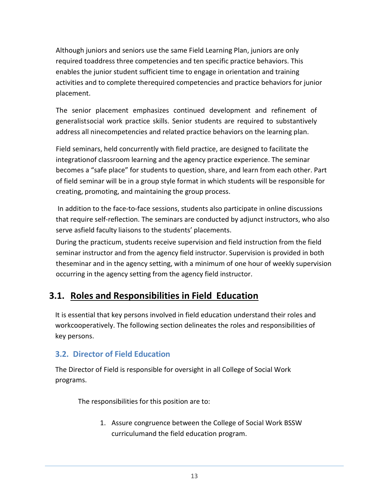Although juniors and seniors use the same Field Learning Plan, juniors are only required toaddress three competencies and ten specific practice behaviors. This enables the junior student sufficient time to engage in orientation and training activities and to complete therequired competencies and practice behaviors for junior placement.

The senior placement emphasizes continued development and refinement of generalistsocial work practice skills. Senior students are required to substantively address all ninecompetencies and related practice behaviors on the learning plan.

Field seminars, held concurrently with field practice, are designed to facilitate the integrationof classroom learning and the agency practice experience. The seminar becomes a "safe place" for students to question, share, and learn from each other. Part of field seminar will be in a group style format in which students will be responsible for creating, promoting, and maintaining the group process.

In addition to the face-to-face sessions, students also participate in online discussions that require self-reflection. The seminars are conducted by adjunct instructors, who also serve asfield faculty liaisons to the students' placements.

During the practicum, students receive supervision and field instruction from the field seminar instructor and from the agency field instructor. Supervision is provided in both theseminar and in the agency setting, with a minimum of one hour of weekly supervision occurring in the agency setting from the agency field instructor.

# <span id="page-12-0"></span>**3.1. Roles and Responsibilities in Field Education**

It is essential that key persons involved in field education understand their roles and workcooperatively. The following section delineates the roles and responsibilities of key persons.

## <span id="page-12-1"></span>**3.2. Director of Field Education**

The Director of Field is responsible for oversight in all College of Social Work programs.

The responsibilities for this position are to:

1. Assure congruence between the College of Social Work BSSW curriculumand the field education program.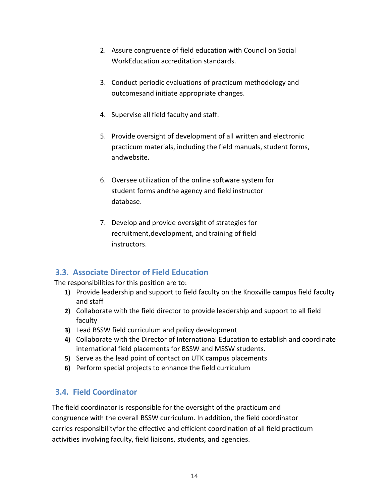- 2. Assure congruence of field education with Council on Social WorkEducation accreditation standards.
- 3. Conduct periodic evaluations of practicum methodology and outcomesand initiate appropriate changes.
- 4. Supervise all field faculty and staff.
- 5. Provide oversight of development of all written and electronic practicum materials, including the field manuals, student forms, andwebsite.
- 6. Oversee utilization of the online software system for student forms andthe agency and field instructor database.
- 7. Develop and provide oversight of strategies for recruitment,development, and training of field instructors.

## <span id="page-13-0"></span>**3.3. Associate Director of Field Education**

The responsibilities for this position are to:

- **1)** Provide leadership and support to field faculty on the Knoxville campus field faculty and staff
- **2)** Collaborate with the field director to provide leadership and support to all field faculty
- **3)** Lead BSSW field curriculum and policy development
- **4)** Collaborate with the Director of International Education to establish and coordinate international field placements for BSSW and MSSW students.
- **5)** Serve as the lead point of contact on UTK campus placements
- **6)** Perform special projects to enhance the field curriculum

## <span id="page-13-1"></span>**3.4. Field Coordinator**

The field coordinator is responsible for the oversight of the practicum and congruence with the overall BSSW curriculum. In addition, the field coordinator carries responsibilityfor the effective and efficient coordination of all field practicum activities involving faculty, field liaisons, students, and agencies.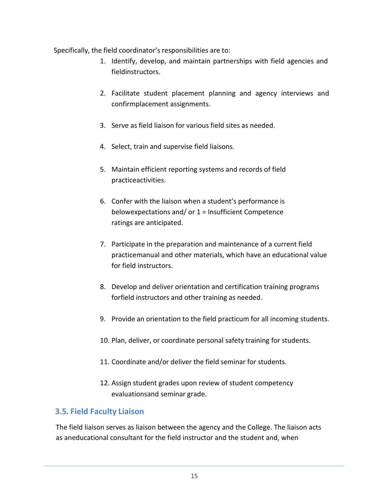Specifically, the field coordinator's responsibilities are to:

- 1. Identify, develop, and maintain partnerships with field agencies and fieldinstructors.
- 2. Facilitate student placement planning and agency interviews and confirmplacement assignments.
- 3. Serve as field liaison for various field sites as needed.
- 4. Select, train and supervise field liaisons.
- 5. Maintain efficient reporting systems and records of field practiceactivities.
- 6. Confer with the liaison when a student's performance is belowexpectations and/ or 1 = Insufficient Competence ratings are anticipated.
- 7. Participate in the preparation and maintenance of a current field practicemanual and other materials, which have an educational value for field instructors.
- 8. Develop and deliver orientation and certification training programs forfield instructors and other training as needed.
- 9. Provide an orientation to the field practicum for all incoming students.
- 10. Plan, deliver, or coordinate personal safety training for students.
- 11. Coordinate and/or deliver the field seminar for students.
- 12. Assign student grades upon review of student competency evaluationsand seminar grade.

#### <span id="page-14-0"></span>**3.5. Field Faculty Liaison**

The field liaison serves as liaison between the agency and the College. The liaison acts as aneducational consultant for the field instructor and the student and, when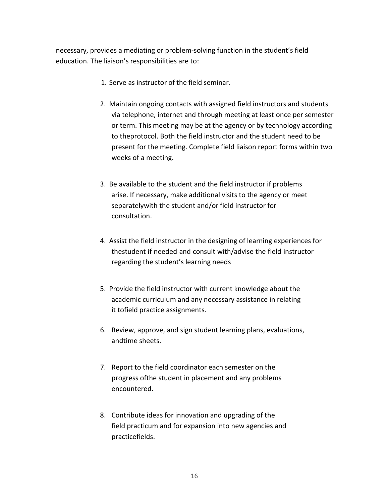necessary, provides a mediating or problem-solving function in the student's field education. The liaison's responsibilities are to:

- 1. Serve as instructor of the field seminar.
- 2. Maintain ongoing contacts with assigned field instructors and students via telephone, internet and through meeting at least once per semester or term. This meeting may be at the agency or by technology according to theprotocol. Both the field instructor and the student need to be present for the meeting. Complete field liaison report forms within two weeks of a meeting.
- 3. Be available to the student and the field instructor if problems arise. If necessary, make additional visits to the agency or meet separatelywith the student and/or field instructor for consultation.
- 4. Assist the field instructor in the designing of learning experiences for thestudent if needed and consult with/advise the field instructor regarding the student's learning needs
- 5. Provide the field instructor with current knowledge about the academic curriculum and any necessary assistance in relating it tofield practice assignments.
- 6. Review, approve, and sign student learning plans, evaluations, andtime sheets.
- 7. Report to the field coordinator each semester on the progress ofthe student in placement and any problems encountered.
- 8. Contribute ideas for innovation and upgrading of the field practicum and for expansion into new agencies and practicefields.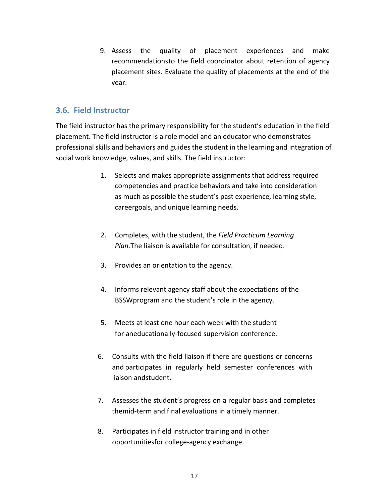9. Assess the quality of placement experiences and make recommendationsto the field coordinator about retention of agency placement sites. Evaluate the quality of placements at the end of the year.

#### <span id="page-16-0"></span>**3.6. Field Instructor**

The field instructor has the primary responsibility for the student's education in the field placement. The field instructor is a role model and an educator who demonstrates professional skills and behaviors and guides the student in the learning and integration of social work knowledge, values, and skills. The field instructor:

- 1. Selects and makes appropriate assignments that address required competencies and practice behaviors and take into consideration as much as possible the student's past experience, learning style, careergoals, and unique learning needs.
- 2. Completes, with the student, the *Field Practicum Learning Plan*.The liaison is available for consultation, if needed.
- 3. Provides an orientation to the agency.
- 4. Informs relevant agency staff about the expectations of the BSSWprogram and the student's role in the agency.
- 5. Meets at least one hour each week with the student for aneducationally-focused supervision conference.
- 6. Consults with the field liaison if there are questions or concerns and participates in regularly held semester conferences with liaison andstudent.
- 7. Assesses the student's progress on a regular basis and completes themid-term and final evaluations in a timely manner.
- 8. Participates in field instructor training and in other opportunitiesfor college-agency exchange.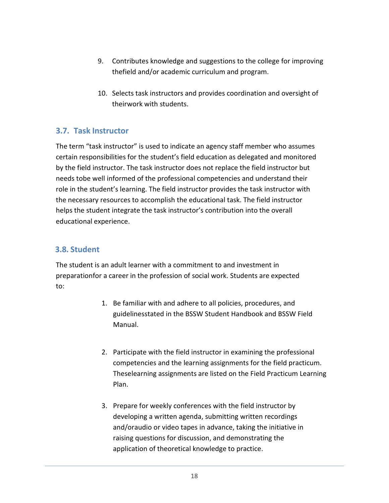- 9. Contributes knowledge and suggestions to the college for improving thefield and/or academic curriculum and program.
- 10. Selects task instructors and provides coordination and oversight of theirwork with students.

#### <span id="page-17-0"></span>**3.7. Task Instructor**

The term "task instructor" is used to indicate an agency staff member who assumes certain responsibilities for the student's field education as delegated and monitored by the field instructor. The task instructor does not replace the field instructor but needs tobe well informed of the professional competencies and understand their role in the student's learning. The field instructor provides the task instructor with the necessary resources to accomplish the educational task. The field instructor helps the student integrate the task instructor's contribution into the overall educational experience.

#### <span id="page-17-1"></span>**3.8. Student**

The student is an adult learner with a commitment to and investment in preparationfor a career in the profession of social work. Students are expected to:

- 1. Be familiar with and adhere to all policies, procedures, and guidelinesstated in the BSSW Student Handbook and BSSW Field Manual.
- 2. Participate with the field instructor in examining the professional competencies and the learning assignments for the field practicum. Theselearning assignments are listed on the Field Practicum Learning Plan.
- 3. Prepare for weekly conferences with the field instructor by developing a written agenda, submitting written recordings and/oraudio or video tapes in advance, taking the initiative in raising questions for discussion, and demonstrating the application of theoretical knowledge to practice.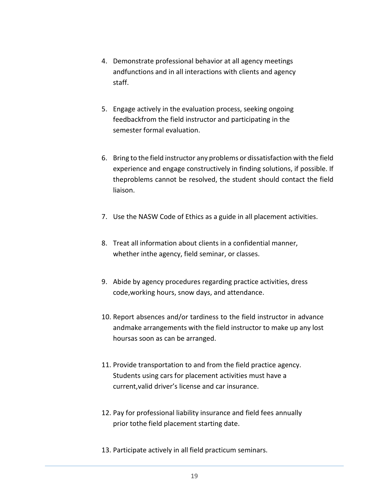- 4. Demonstrate professional behavior at all agency meetings andfunctions and in all interactions with clients and agency staff.
- 5. Engage actively in the evaluation process, seeking ongoing feedbackfrom the field instructor and participating in the semester formal evaluation.
- 6. Bring to the field instructor any problems or dissatisfaction with the field experience and engage constructively in finding solutions, if possible. If theproblems cannot be resolved, the student should contact the field liaison.
- 7. Use the NASW Code of Ethics as a guide in all placement activities.
- 8. Treat all information about clients in a confidential manner, whether inthe agency, field seminar, or classes.
- 9. Abide by agency procedures regarding practice activities, dress code,working hours, snow days, and attendance.
- 10. Report absences and/or tardiness to the field instructor in advance andmake arrangements with the field instructor to make up any lost hoursas soon as can be arranged.
- 11. Provide transportation to and from the field practice agency. Students using cars for placement activities must have a current,valid driver's license and car insurance.
- 12. Pay for professional liability insurance and field fees annually prior tothe field placement starting date.
- 13. Participate actively in all field practicum seminars.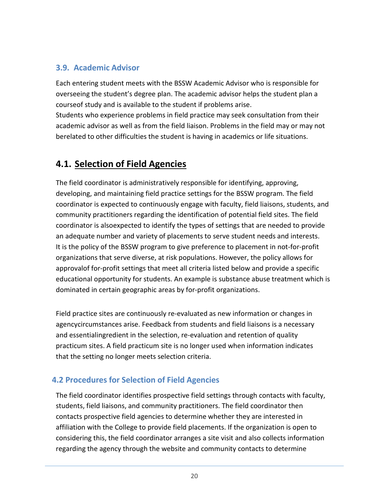## <span id="page-19-0"></span>**3.9. Academic Advisor**

Each entering student meets with the BSSW Academic Advisor who is responsible for overseeing the student's degree plan. The academic advisor helps the student plan a courseof study and is available to the student if problems arise.

Students who experience problems in field practice may seek consultation from their academic advisor as well as from the field liaison. Problems in the field may or may not berelated to other difficulties the student is having in academics or life situations.

# <span id="page-19-1"></span>**4.1. Selection of Field Agencies**

The field coordinator is administratively responsible for identifying, approving, developing, and maintaining field practice settings for the BSSW program. The field coordinator is expected to continuously engage with faculty, field liaisons, students, and community practitioners regarding the identification of potential field sites. The field coordinator is alsoexpected to identify the types of settings that are needed to provide an adequate number and variety of placements to serve student needs and interests. It is the policy of the BSSW program to give preference to placement in not-for-profit organizations that serve diverse, at risk populations. However, the policy allows for approvalof for-profit settings that meet all criteria listed below and provide a specific educational opportunity for students. An example is substance abuse treatment which is dominated in certain geographic areas by for-profit organizations.

Field practice sites are continuously re-evaluated as new information or changes in agencycircumstances arise. Feedback from students and field liaisons is a necessary and essentialingredient in the selection, re-evaluation and retention of quality practicum sites. A field practicum site is no longer used when information indicates that the setting no longer meets selection criteria.

## <span id="page-19-2"></span>**4.2 Procedures for Selection of Field Agencies**

The field coordinator identifies prospective field settings through contacts with faculty, students, field liaisons, and community practitioners. The field coordinator then contacts prospective field agencies to determine whether they are interested in affiliation with the College to provide field placements. If the organization is open to considering this, the field coordinator arranges a site visit and also collects information regarding the agency through the website and community contacts to determine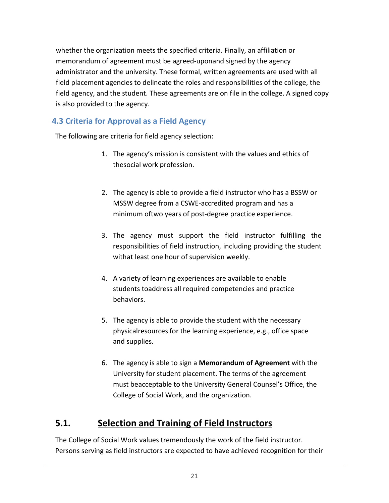whether the organization meets the specified criteria. Finally, an affiliation or memorandum of agreement must be agreed-uponand signed by the agency administrator and the university. These formal, written agreements are used with all field placement agencies to delineate the roles and responsibilities of the college, the field agency, and the student. These agreements are on file in the college. A signed copy is also provided to the agency.

## <span id="page-20-0"></span>**4.3 Criteria for Approval as a Field Agency**

The following are criteria for field agency selection:

- 1. The agency's mission is consistent with the values and ethics of thesocial work profession.
- 2. The agency is able to provide a field instructor who has a BSSW or MSSW degree from a CSWE-accredited program and has a minimum oftwo years of post-degree practice experience.
- 3. The agency must support the field instructor fulfilling the responsibilities of field instruction, including providing the student withat least one hour of supervision weekly.
- 4. A variety of learning experiences are available to enable students toaddress all required competencies and practice behaviors.
- 5. The agency is able to provide the student with the necessary physicalresources for the learning experience, e.g., office space and supplies.
- 6. The agency is able to sign a **Memorandum of Agreement** with the University for student placement. The terms of the agreement must beacceptable to the University General Counsel's Office, the College of Social Work, and the organization.

# <span id="page-20-1"></span>**5.1. Selection and Training of Field Instructors**

The College of Social Work values tremendously the work of the field instructor. Persons serving as field instructors are expected to have achieved recognition for their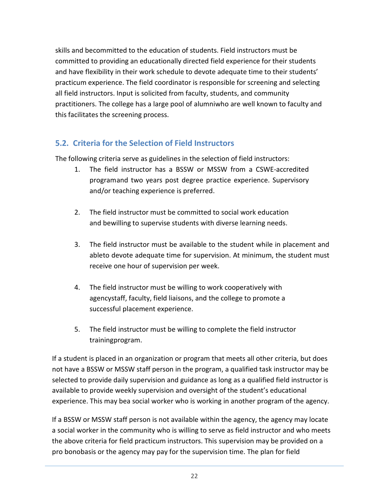skills and becommitted to the education of students. Field instructors must be committed to providing an educationally directed field experience for their students and have flexibility in their work schedule to devote adequate time to their students' practicum experience. The field coordinator is responsible for screening and selecting all field instructors. Input is solicited from faculty, students, and community practitioners. The college has a large pool of alumniwho are well known to faculty and this facilitates the screening process.

## <span id="page-21-0"></span>**5.2. Criteria for the Selection of Field Instructors**

The following criteria serve as guidelines in the selection of field instructors:

- 1. The field instructor has a BSSW or MSSW from a CSWE-accredited programand two years post degree practice experience. Supervisory and/or teaching experience is preferred.
- 2. The field instructor must be committed to social work education and bewilling to supervise students with diverse learning needs.
- 3. The field instructor must be available to the student while in placement and ableto devote adequate time for supervision. At minimum, the student must receive one hour of supervision per week.
- 4. The field instructor must be willing to work cooperatively with agencystaff, faculty, field liaisons, and the college to promote a successful placement experience.
- 5. The field instructor must be willing to complete the field instructor trainingprogram.

If a student is placed in an organization or program that meets all other criteria, but does not have a BSSW or MSSW staff person in the program, a qualified task instructor may be selected to provide daily supervision and guidance as long as a qualified field instructor is available to provide weekly supervision and oversight of the student's educational experience. This may bea social worker who is working in another program of the agency.

If a BSSW or MSSW staff person is not available within the agency, the agency may locate a social worker in the community who is willing to serve as field instructor and who meets the above criteria for field practicum instructors. This supervision may be provided on a pro bonobasis or the agency may pay for the supervision time. The plan for field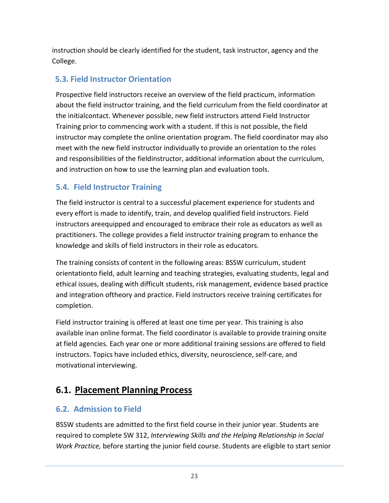instruction should be clearly identified for the student, task instructor, agency and the College.

## <span id="page-22-0"></span>**5.3. Field Instructor Orientation**

Prospective field instructors receive an overview of the field practicum, information about the field instructor training, and the field curriculum from the field coordinator at the initialcontact. Whenever possible, new field instructors attend Field Instructor Training prior to commencing work with a student. If this is not possible, the field instructor may complete the online orientation program. The field coordinator may also meet with the new field instructor individually to provide an orientation to the roles and responsibilities of the fieldinstructor, additional information about the curriculum, and instruction on how to use the learning plan and evaluation tools.

## <span id="page-22-1"></span>**5.4. Field Instructor Training**

The field instructor is central to a successful placement experience for students and every effort is made to identify, train, and develop qualified field instructors. Field instructors areequipped and encouraged to embrace their role as educators as well as practitioners. The college provides a field instructor training program to enhance the knowledge and skills of field instructors in their role as educators.

The training consists of content in the following areas: BSSW curriculum, student orientationto field, adult learning and teaching strategies, evaluating students, legal and ethical issues, dealing with difficult students, risk management, evidence based practice and integration oftheory and practice. Field instructors receive training certificates for completion.

Field instructor training is offered at least one time per year. This training is also available inan online format. The field coordinator is available to provide training onsite at field agencies. Each year one or more additional training sessions are offered to field instructors. Topics have included ethics, diversity, neuroscience, self-care, and motivational interviewing.

# <span id="page-22-2"></span>**6.1. Placement Planning Process**

#### <span id="page-22-3"></span>**6.2. Admission to Field**

BSSW students are admitted to the first field course in their junior year. Students are required to complete SW 312, *Interviewing Skills and the Helping Relationship in Social Work Practice,* before starting the junior field course. Students are eligible to start senior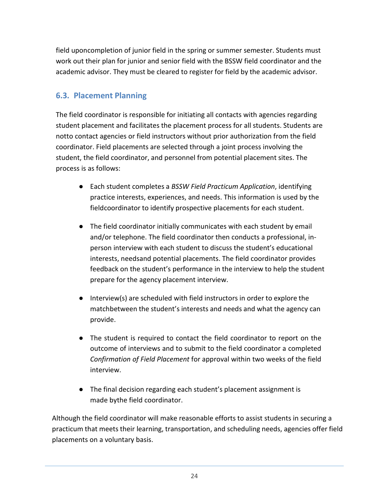field uponcompletion of junior field in the spring or summer semester. Students must work out their plan for junior and senior field with the BSSW field coordinator and the academic advisor. They must be cleared to register for field by the academic advisor.

## <span id="page-23-0"></span>**6.3. Placement Planning**

The field coordinator is responsible for initiating all contacts with agencies regarding student placement and facilitates the placement process for all students. Students are notto contact agencies or field instructors without prior authorization from the field coordinator. Field placements are selected through a joint process involving the student, the field coordinator, and personnel from potential placement sites. The process is as follows:

- Each student completes a *BSSW Field Practicum Application*, identifying practice interests, experiences, and needs. This information is used by the fieldcoordinator to identify prospective placements for each student.
- The field coordinator initially communicates with each student by email and/or telephone. The field coordinator then conducts a professional, inperson interview with each student to discuss the student's educational interests, needsand potential placements. The field coordinator provides feedback on the student's performance in the interview to help the student prepare for the agency placement interview.
- Interview(s) are scheduled with field instructors in order to explore the matchbetween the student's interests and needs and what the agency can provide.
- The student is required to contact the field coordinator to report on the outcome of interviews and to submit to the field coordinator a completed *Confirmation of Field Placement* for approval within two weeks of the field interview.
- The final decision regarding each student's placement assignment is made bythe field coordinator.

Although the field coordinator will make reasonable efforts to assist students in securing a practicum that meets their learning, transportation, and scheduling needs, agencies offer field placements on a voluntary basis.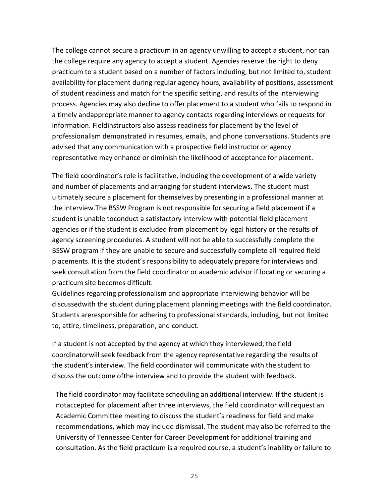The college cannot secure a practicum in an agency unwilling to accept a student, nor can the college require any agency to accept a student. Agencies reserve the right to deny practicum to a student based on a number of factors including, but not limited to, student availability for placement during regular agency hours, availability of positions, assessment of student readiness and match for the specific setting, and results of the interviewing process. Agencies may also decline to offer placement to a student who fails to respond in a timely andappropriate manner to agency contacts regarding interviews or requests for information. Fieldinstructors also assess readiness for placement by the level of professionalism demonstrated in resumes, emails, and phone conversations. Students are advised that any communication with a prospective field instructor or agency representative may enhance or diminish the likelihood of acceptance for placement.

The field coordinator's role is facilitative, including the development of a wide variety and number of placements and arranging for student interviews. The student must ultimately secure a placement for themselves by presenting in a professional manner at the interview.The BSSW Program is not responsible for securing a field placement if a student is unable toconduct a satisfactory interview with potential field placement agencies or if the student is excluded from placement by legal history or the results of agency screening procedures. A student will not be able to successfully complete the BSSW program if they are unable to secure and successfully complete all required field placements. It is the student's responsibility to adequately prepare for interviews and seek consultation from the field coordinator or academic advisor if locating or securing a practicum site becomes difficult.

Guidelines regarding professionalism and appropriate interviewing behavior will be discussedwith the student during placement planning meetings with the field coordinator. Students areresponsible for adhering to professional standards, including, but not limited to, attire, timeliness, preparation, and conduct.

If a student is not accepted by the agency at which they interviewed, the field coordinatorwill seek feedback from the agency representative regarding the results of the student's interview. The field coordinator will communicate with the student to discuss the outcome ofthe interview and to provide the student with feedback.

The field coordinator may facilitate scheduling an additional interview. If the student is notaccepted for placement after three interviews, the field coordinator will request an Academic Committee meeting to discuss the student's readiness for field and make recommendations, which may include dismissal. The student may also be referred to the University of Tennessee Center for Career Development for additional training and consultation. As the field practicum is a required course, a student's inability or failure to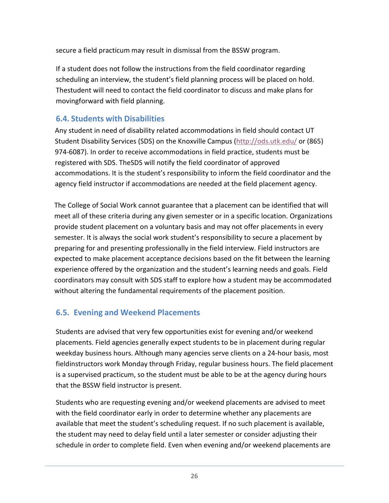secure a field practicum may result in dismissal from the BSSW program.

If a student does not follow the instructions from the field coordinator regarding scheduling an interview, the student's field planning process will be placed on hold. Thestudent will need to contact the field coordinator to discuss and make plans for movingforward with field planning.

## <span id="page-25-0"></span>**6.4. Students with Disabilities**

Any student in need of disability related accommodations in field should contact UT Student Disability Services (SDS) on the Knoxville Campus [\(http://ods.utk.edu/](http://ods.utk.edu/) or (865) 974-6087). In order to receive accommodations in field practice, students must be registered with SDS. TheSDS will notify the field coordinator of approved accommodations. It is the student's responsibility to inform the field coordinator and the agency field instructor if accommodations are needed at the field placement agency.

The College of Social Work cannot guarantee that a placement can be identified that will meet all of these criteria during any given semester or in a specific location. Organizations provide student placement on a voluntary basis and may not offer placements in every semester. It is always the social work student's responsibility to secure a placement by preparing for and presenting professionally in the field interview. Field instructors are expected to make placement acceptance decisions based on the fit between the learning experience offered by the organization and the student's learning needs and goals. Field coordinators may consult with SDS staff to explore how a student may be accommodated without altering the fundamental requirements of the placement position.

## <span id="page-25-1"></span>**6.5. Evening and Weekend Placements**

Students are advised that very few opportunities exist for evening and/or weekend placements. Field agencies generally expect students to be in placement during regular weekday business hours. Although many agencies serve clients on a 24-hour basis, most fieldinstructors work Monday through Friday, regular business hours. The field placement is a supervised practicum, so the student must be able to be at the agency during hours that the BSSW field instructor is present.

Students who are requesting evening and/or weekend placements are advised to meet with the field coordinator early in order to determine whether any placements are available that meet the student's scheduling request. If no such placement is available, the student may need to delay field until a later semester or consider adjusting their schedule in order to complete field. Even when evening and/or weekend placements are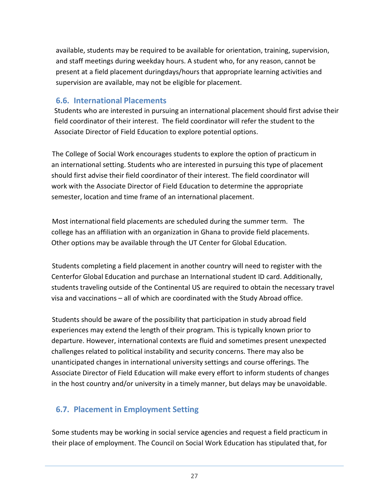available, students may be required to be available for orientation, training, supervision, and staff meetings during weekday hours. A student who, for any reason, cannot be present at a field placement duringdays/hours that appropriate learning activities and supervision are available, may not be eligible for placement.

#### <span id="page-26-0"></span>**6.6. International Placements**

Students who are interested in pursuing an international placement should first advise their field coordinator of their interest. The field coordinator will refer the student to the Associate Director of Field Education to explore potential options.

The College of Social Work encourages students to explore the option of practicum in an international setting. Students who are interested in pursuing this type of placement should first advise their field coordinator of their interest. The field coordinator will work with the Associate Director of Field Education to determine the appropriate semester, location and time frame of an international placement.

Most international field placements are scheduled during the summer term. The college has an affiliation with an organization in Ghana to provide field placements. Other options may be available through the UT Center for Global Education.

Students completing a field placement in another country will need to register with the Centerfor Global Education and purchase an International student ID card. Additionally, students traveling outside of the Continental US are required to obtain the necessary travel visa and vaccinations – all of which are coordinated with the Study Abroad office.

Students should be aware of the possibility that participation in study abroad field experiences may extend the length of their program. This is typically known prior to departure. However, international contexts are fluid and sometimes present unexpected challenges related to political instability and security concerns. There may also be unanticipated changes in international university settings and course offerings. The Associate Director of Field Education will make every effort to inform students of changes in the host country and/or university in a timely manner, but delays may be unavoidable.

## <span id="page-26-1"></span>**6.7. Placement in Employment Setting**

Some students may be working in social service agencies and request a field practicum in their place of employment. The Council on Social Work Education has stipulated that, for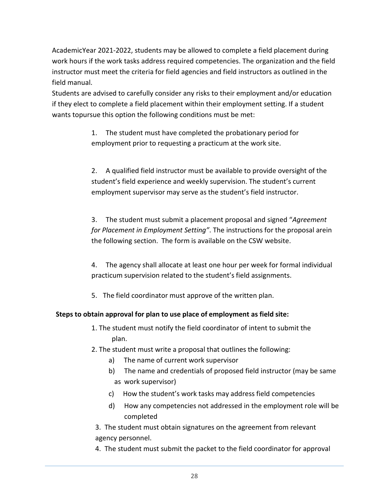AcademicYear 2021-2022, students may be allowed to complete a field placement during work hours if the work tasks address required competencies. The organization and the field instructor must meet the criteria for field agencies and field instructors as outlined in the field manual.

Students are advised to carefully consider any risks to their employment and/or education if they elect to complete a field placement within their employment setting. If a student wants topursue this option the following conditions must be met:

> 1. The student must have completed the probationary period for employment prior to requesting a practicum at the work site.

2. A qualified field instructor must be available to provide oversight of the student's field experience and weekly supervision. The student's current employment supervisor may serve as the student's field instructor.

3. The student must submit a placement proposal and signed "*Agreement for Placement in Employment Setting"*. The instructions for the proposal arein the following section. The form is available on the CSW website.

4. The agency shall allocate at least one hour per week for formal individual practicum supervision related to the student's field assignments.

5. The field coordinator must approve of the written plan.

#### **Steps to obtain approval for plan to use place of employment as field site:**

- 1. The student must notify the field coordinator of intent to submit the plan.
- 2. The student must write a proposal that outlines the following:
	- a) The name of current work supervisor
	- b) The name and credentials of proposed field instructor (may be same as work supervisor)
	- c) How the student's work tasks may address field competencies
	- d) How any competencies not addressed in the employment role will be completed

3. The student must obtain signatures on the agreement from relevant agency personnel.

4. The student must submit the packet to the field coordinator for approval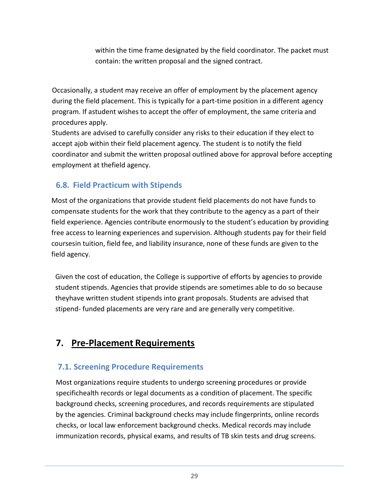within the time frame designated by the field coordinator. The packet must contain: the written proposal and the signed contract.

Occasionally, a student may receive an offer of employment by the placement agency during the field placement. This is typically for a part-time position in a different agency program. If astudent wishes to accept the offer of employment, the same criteria and procedures apply.

Students are advised to carefully consider any risks to their education if they elect to accept ajob within their field placement agency. The student is to notify the field coordinator and submit the written proposal outlined above for approval before accepting employment at thefield agency.

## <span id="page-28-0"></span>**6.8. Field Practicum with Stipends**

Most of the organizations that provide student field placements do not have funds to compensate students for the work that they contribute to the agency as a part of their field experience. Agencies contribute enormously to the student's education by providing free access to learning experiences and supervision. Although students pay for their field coursesin tuition, field fee, and liability insurance, none of these funds are given to the field agency.

Given the cost of education, the College is supportive of efforts by agencies to provide student stipends. Agencies that provide stipends are sometimes able to do so because theyhave written student stipends into grant proposals. Students are advised that stipend- funded placements are very rare and are generally very competitive.

# <span id="page-28-1"></span>**7. Pre-Placement Requirements**

## <span id="page-28-2"></span>**7.1. Screening Procedure Requirements**

Most organizations require students to undergo screening procedures or provide specifichealth records or legal documents as a condition of placement. The specific background checks, screening procedures, and records requirements are stipulated by the agencies. Criminal background checks may include fingerprints, online records checks, or local law enforcement background checks. Medical records may include immunization records, physical exams, and results of TB skin tests and drug screens.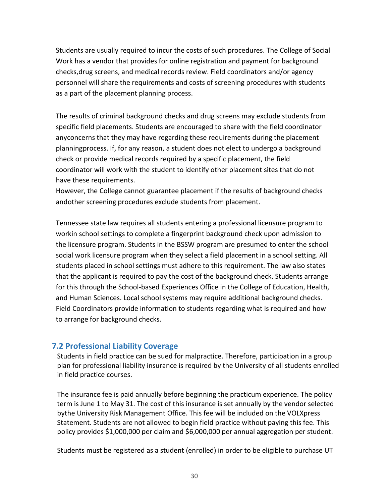Students are usually required to incur the costs of such procedures. The College of Social Work has a vendor that provides for online registration and payment for background checks,drug screens, and medical records review. Field coordinators and/or agency personnel will share the requirements and costs of screening procedures with students as a part of the placement planning process.

The results of criminal background checks and drug screens may exclude students from specific field placements. Students are encouraged to share with the field coordinator anyconcerns that they may have regarding these requirements during the placement planningprocess. If, for any reason, a student does not elect to undergo a background check or provide medical records required by a specific placement, the field coordinator will work with the student to identify other placement sites that do not have these requirements.

However, the College cannot guarantee placement if the results of background checks andother screening procedures exclude students from placement.

Tennessee state law requires all students entering a professional licensure program to workin school settings to complete a fingerprint background check upon admission to the licensure program. Students in the BSSW program are presumed to enter the school social work licensure program when they select a field placement in a school setting. All students placed in school settings must adhere to this requirement. The law also states that the applicant is required to pay the cost of the background check. Students arrange for this through the School-based Experiences Office in the College of Education, Health, and Human Sciences. Local school systems may require additional background checks. Field Coordinators provide information to students regarding what is required and how to arrange for background checks.

#### <span id="page-29-0"></span>**7.2 Professional Liability Coverage**

Students in field practice can be sued for malpractice. Therefore, participation in a group plan for professional liability insurance is required by the University of all students enrolled in field practice courses.

The insurance fee is paid annually before beginning the practicum experience. The policy term is June 1 to May 31. The cost of this insurance is set annually by the vendor selected bythe University Risk Management Office. This fee will be included on the VOLXpress Statement. Students are not allowed to begin field practice without paying this fee. This policy provides \$1,000,000 per claim and \$6,000,000 per annual aggregation per student.

Students must be registered as a student (enrolled) in order to be eligible to purchase UT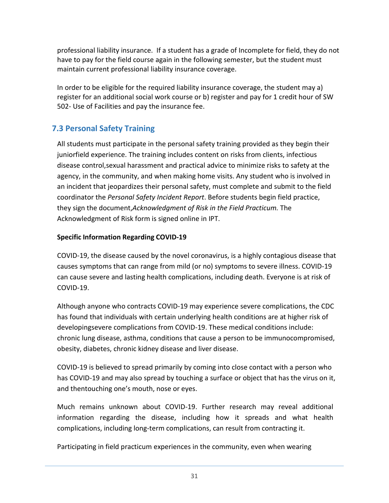professional liability insurance. If a student has a grade of Incomplete for field, they do not have to pay for the field course again in the following semester, but the student must maintain current professional liability insurance coverage.

In order to be eligible for the required liability insurance coverage, the student may a) register for an additional social work course or b) register and pay for 1 credit hour of SW 502- Use of Facilities and pay the insurance fee.

## <span id="page-30-0"></span>**7.3 Personal Safety Training**

All students must participate in the personal safety training provided as they begin their juniorfield experience. The training includes content on risks from clients, infectious disease control,sexual harassment and practical advice to minimize risks to safety at the agency, in the community, and when making home visits. Any student who is involved in an incident that jeopardizes their personal safety, must complete and submit to the field coordinator the *Personal Safety Incident Report*. Before students begin field practice, they sign the document,*Acknowledgment of Risk in the Field Practicum.* The Acknowledgment of Risk form is signed online in IPT.

#### **Specific Information Regarding COVID-19**

COVID-19, the disease caused by the novel coronavirus, is a highly contagious disease that causes symptoms that can range from mild (or no) symptoms to severe illness. COVID-19 can cause severe and lasting health complications, including death. Everyone is at risk of COVID-19.

Although anyone who contracts COVID-19 may experience severe complications, the CDC has found that individuals with certain underlying health conditions are at higher risk of developingsevere complications from COVID-19. These medical conditions include: chronic lung disease, asthma, conditions that cause a person to be immunocompromised, obesity, diabetes, chronic kidney disease and liver disease.

COVID-19 is believed to spread primarily by coming into close contact with a person who has COVID-19 and may also spread by touching a surface or object that has the virus on it, and thentouching one's mouth, nose or eyes.

Much remains unknown about COVID-19. Further research may reveal additional information regarding the disease, including how it spreads and what health complications, including long-term complications, can result from contracting it.

Participating in field practicum experiences in the community, even when wearing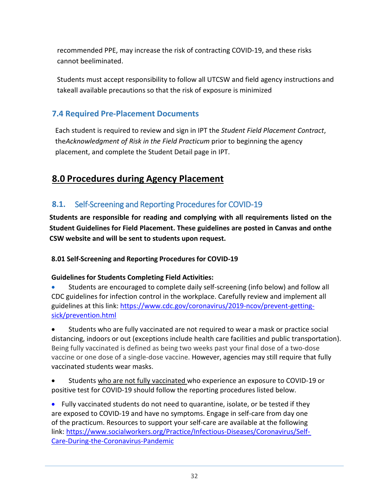recommended PPE, may increase the risk of contracting COVID-19, and these risks cannot beeliminated.

Students must accept responsibility to follow all UTCSW and field agency instructions and takeall available precautions so that the risk of exposure is minimized

## <span id="page-31-0"></span>**7.4 Required Pre-Placement Documents**

Each student is required to review and sign in IPT the *Student Field Placement Contract*, the*Acknowledgment of Risk in the Field Practicum* prior to beginning the agency placement, and complete the Student Detail page in IPT.

# <span id="page-31-1"></span>**8.0 Procedures during Agency Placement**

## <span id="page-31-2"></span>**8.1.** Self-Screening and Reporting Procedures for COVID-19

**Students are responsible for reading and complying with all requirements listed on the Student Guidelines for Field Placement. These guidelines are posted in Canvas and onthe CSW website and will be sent to students upon request.**

**8.01 Self-Screening and Reporting Procedures for COVID-19** 

#### **Guidelines for Students Completing Field Activities:**

• Students are encouraged to complete daily self-screening (info below) and follow all CDC guidelines for infection control in the workplace. Carefully review and implement all guidelines at this link: [https://www.cdc.gov/coronavirus/2019-ncov/prevent-getting](https://www.cdc.gov/coronavirus/2019-ncov/prevent-getting-sick/prevention.html)[sick/prevention.html](https://www.cdc.gov/coronavirus/2019-ncov/prevent-getting-sick/prevention.html)

• Students who are fully vaccinated are not required to wear a mask or practice social distancing, indoors or out (exceptions include health care facilities and public transportation). Being fully vaccinated is defined as being two weeks past your final dose of a two-dose vaccine or one dose of a single-dose vaccine. However, agencies may still require that fully vaccinated students wear masks.

• Students who are not fully vaccinated who experience an exposure to COVID-19 or positive test for COVID-19 should follow the reporting procedures listed below.

• Fully vaccinated students do not need to quarantine, isolate, or be tested if they are exposed to COVID-19 and have no symptoms. Engage in self-care from day one of the practicum. Resources to support your self-care are available at the following link: [https://www.socialworkers.org/Practice/Infectious-Diseases/Coronavirus/Self-](https://www.socialworkers.org/Practice/Infectious-Diseases/Coronavirus/Self-%20Care-During-the-Coronavirus-Pandemic)[Care-During-the-Coronavirus-Pandemic](https://www.socialworkers.org/Practice/Infectious-Diseases/Coronavirus/Self-%20Care-During-the-Coronavirus-Pandemic)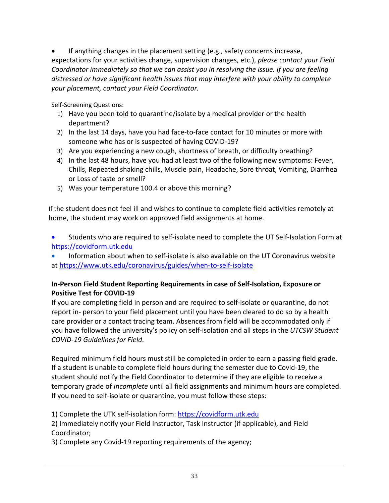If anything changes in the placement setting (e.g., safety concerns increase, expectations for your activities change, supervision changes, etc.), *please contact your Field Coordinator immediately so that we can assist you in resolving the issue. If you are feeling distressed or have significant health issues that may interfere with your ability to complete your placement, contact your Field Coordinator.* 

Self-Screening Questions:

- 1) Have you been told to quarantine/isolate by a medical provider or the health department?
- 2) In the last 14 days, have you had face-to-face contact for 10 minutes or more with someone who has or is suspected of having COVID-19?
- 3) Are you experiencing a new cough, shortness of breath, or difficulty breathing?
- 4) In the last 48 hours, have you had at least two of the following new symptoms: Fever, Chills, Repeated shaking chills, Muscle pain, Headache, Sore throat, Vomiting, Diarrhea or Loss of taste or smell?
- 5) Was your temperature 100.4 or above this morning?

If the student does not feel ill and wishes to continue to complete field activities remotely at home, the student may work on approved field assignments at home.

• Students who are required to self-isolate need to complete the UT Self-Isolation Form at [https://covidform.utk.edu](https://covidform.utk.edu/)

• Information about when to self-isolate is also available on the UT Coronavirus website at<https://www.utk.edu/coronavirus/guides/when-to-self-isolate>

#### **In-Person Field Student Reporting Requirements in case of Self-Isolation, Exposure or Positive Test for COVID-19**

If you are completing field in person and are required to self-isolate or quarantine, do not report in- person to your field placement until you have been cleared to do so by a health care provider or a contact tracing team. Absences from field will be accommodated only if you have followed the university's policy on self-isolation and all steps in the *UTCSW Student COVID-19 Guidelines for Field*.

Required minimum field hours must still be completed in order to earn a passing field grade. If a student is unable to complete field hours during the semester due to Covid-19, the student should notify the Field Coordinator to determine if they are eligible to receive a temporary grade of *Incomplete* until all field assignments and minimum hours are completed. If you need to self-isolate or quarantine, you must follow these steps:

1) Complete the UTK self-isolation form: [https://covidform.utk.edu](https://covidform.utk.edu/)

2) Immediately notify your Field Instructor, Task Instructor (if applicable), and Field Coordinator;

3) Complete any Covid-19 reporting requirements of the agency;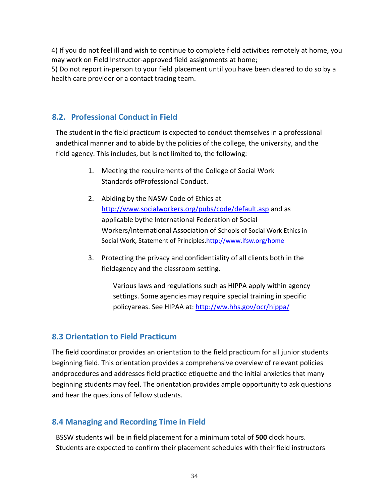4) If you do not feel ill and wish to continue to complete field activities remotely at home, you may work on Field Instructor-approved field assignments at home; 5) Do not report in-person to your field placement until you have been cleared to do so by a

health care provider or a contact tracing team.

## <span id="page-33-0"></span>**8.2. Professional Conduct in Field**

The student in the field practicum is expected to conduct themselves in a professional andethical manner and to abide by the policies of the college, the university, and the field agency. This includes, but is not limited to, the following:

- 1. Meeting the requirements of the College of Social Work Standards ofProfessional Conduct.
- 2. Abiding by the NASW Code of Ethics at <http://www.socialworkers.org/pubs/code/default.asp> and as applicable bythe International Federation of Social Workers/International Association of Schools of Social Work Ethics in Social Work, Statement of Principle[s.http://www.ifsw.org/home](http://www.ifsw.org/home)
- 3. Protecting the privacy and confidentiality of all clients both in the fieldagency and the classroom setting.

Various laws and regulations such as HIPPA apply within agency settings. Some agencies may require special training in specific policyareas. See HIPAA at: <http://ww.hhs.gov/ocr/hippa/>

## <span id="page-33-1"></span>**8.3 Orientation to Field Practicum**

The field coordinator provides an orientation to the field practicum for all junior students beginning field. This orientation provides a comprehensive overview of relevant policies andprocedures and addresses field practice etiquette and the initial anxieties that many beginning students may feel. The orientation provides ample opportunity to ask questions and hear the questions of fellow students.

## <span id="page-33-2"></span>**8.4 Managing and Recording Time in Field**

BSSW students will be in field placement for a minimum total of **500** clock hours. Students are expected to confirm their placement schedules with their field instructors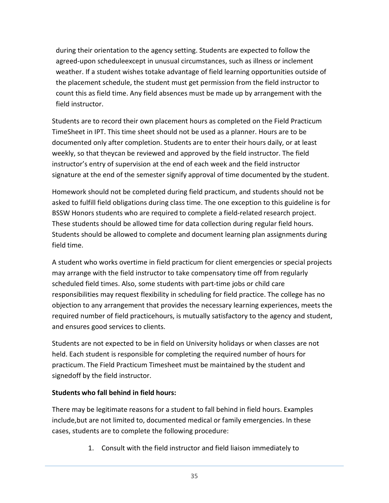during their orientation to the agency setting. Students are expected to follow the agreed-upon scheduleexcept in unusual circumstances, such as illness or inclement weather. If a student wishes totake advantage of field learning opportunities outside of the placement schedule, the student must get permission from the field instructor to count this as field time. Any field absences must be made up by arrangement with the field instructor.

Students are to record their own placement hours as completed on the Field Practicum TimeSheet in IPT. This time sheet should not be used as a planner. Hours are to be documented only after completion. Students are to enter their hours daily, or at least weekly, so that theycan be reviewed and approved by the field instructor. The field instructor's entry of supervision at the end of each week and the field instructor signature at the end of the semester signify approval of time documented by the student.

Homework should not be completed during field practicum, and students should not be asked to fulfill field obligations during class time. The one exception to this guideline is for BSSW Honors students who are required to complete a field-related research project. These students should be allowed time for data collection during regular field hours. Students should be allowed to complete and document learning plan assignments during field time.

A student who works overtime in field practicum for client emergencies or special projects may arrange with the field instructor to take compensatory time off from regularly scheduled field times. Also, some students with part-time jobs or child care responsibilities may request flexibility in scheduling for field practice. The college has no objection to any arrangement that provides the necessary learning experiences, meets the required number of field practicehours, is mutually satisfactory to the agency and student, and ensures good services to clients.

Students are not expected to be in field on University holidays or when classes are not held. Each student is responsible for completing the required number of hours for practicum. The Field Practicum Timesheet must be maintained by the student and signedoff by the field instructor.

#### **Students who fall behind in field hours:**

There may be legitimate reasons for a student to fall behind in field hours. Examples include,but are not limited to, documented medical or family emergencies. In these cases, students are to complete the following procedure:

1. Consult with the field instructor and field liaison immediately to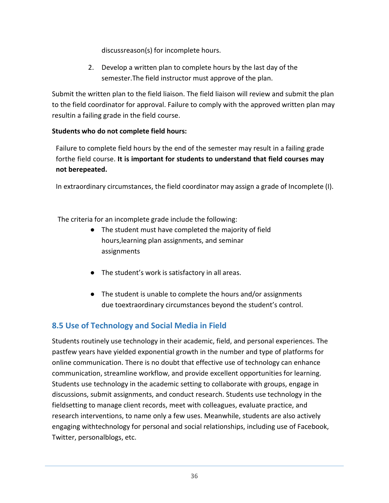discussreason(s) for incomplete hours.

2. Develop a written plan to complete hours by the last day of the semester.The field instructor must approve of the plan.

Submit the written plan to the field liaison. The field liaison will review and submit the plan to the field coordinator for approval. Failure to comply with the approved written plan may resultin a failing grade in the field course.

#### **Students who do not complete field hours:**

Failure to complete field hours by the end of the semester may result in a failing grade forthe field course. **It is important for students to understand that field courses may not berepeated.**

In extraordinary circumstances, the field coordinator may assign a grade of Incomplete (I).

The criteria for an incomplete grade include the following:

- The student must have completed the majority of field hours,learning plan assignments, and seminar assignments
- The student's work is satisfactory in all areas.
- The student is unable to complete the hours and/or assignments due toextraordinary circumstances beyond the student's control.

## <span id="page-35-0"></span>**8.5 Use of Technology and Social Media in Field**

Students routinely use technology in their academic, field, and personal experiences. The pastfew years have yielded exponential growth in the number and type of platforms for online communication. There is no doubt that effective use of technology can enhance communication, streamline workflow, and provide excellent opportunities for learning. Students use technology in the academic setting to collaborate with groups, engage in discussions, submit assignments, and conduct research. Students use technology in the fieldsetting to manage client records, meet with colleagues, evaluate practice, and research interventions, to name only a few uses. Meanwhile, students are also actively engaging withtechnology for personal and social relationships, including use of Facebook, Twitter, personalblogs, etc.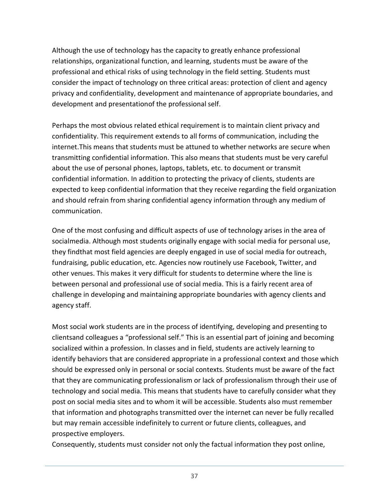Although the use of technology has the capacity to greatly enhance professional relationships, organizational function, and learning, students must be aware of the professional and ethical risks of using technology in the field setting. Students must consider the impact of technology on three critical areas: protection of client and agency privacy and confidentiality, development and maintenance of appropriate boundaries, and development and presentationof the professional self.

Perhaps the most obvious related ethical requirement is to maintain client privacy and confidentiality. This requirement extends to all forms of communication, including the internet.This means that students must be attuned to whether networks are secure when transmitting confidential information. This also means that students must be very careful about the use of personal phones, laptops, tablets, etc. to document or transmit confidential information. In addition to protecting the privacy of clients, students are expected to keep confidential information that they receive regarding the field organization and should refrain from sharing confidential agency information through any medium of communication.

One of the most confusing and difficult aspects of use of technology arises in the area of socialmedia. Although most students originally engage with social media for personal use, they findthat most field agencies are deeply engaged in use of social media for outreach, fundraising, public education, etc. Agencies now routinely use Facebook, Twitter, and other venues. This makes it very difficult for students to determine where the line is between personal and professional use of social media. This is a fairly recent area of challenge in developing and maintaining appropriate boundaries with agency clients and agency staff.

Most social work students are in the process of identifying, developing and presenting to clientsand colleagues a "professional self." This is an essential part of joining and becoming socialized within a profession. In classes and in field, students are actively learning to identify behaviors that are considered appropriate in a professional context and those which should be expressed only in personal or social contexts. Students must be aware of the fact that they are communicating professionalism or lack of professionalism through their use of technology and social media. This means that students have to carefully consider what they post on social media sites and to whom it will be accessible. Students also must remember that information and photographs transmitted over the internet can never be fully recalled but may remain accessible indefinitely to current or future clients, colleagues, and prospective employers.

Consequently, students must consider not only the factual information they post online,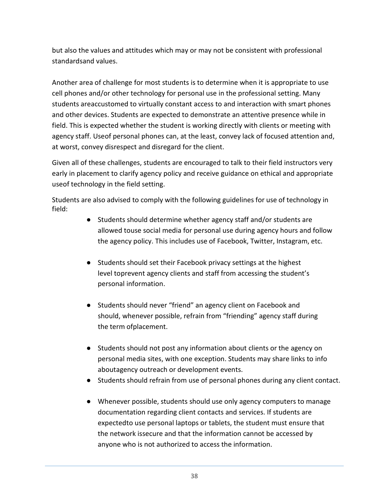but also the values and attitudes which may or may not be consistent with professional standardsand values.

Another area of challenge for most students is to determine when it is appropriate to use cell phones and/or other technology for personal use in the professional setting. Many students areaccustomed to virtually constant access to and interaction with smart phones and other devices. Students are expected to demonstrate an attentive presence while in field. This is expected whether the student is working directly with clients or meeting with agency staff. Useof personal phones can, at the least, convey lack of focused attention and, at worst, convey disrespect and disregard for the client.

Given all of these challenges, students are encouraged to talk to their field instructors very early in placement to clarify agency policy and receive guidance on ethical and appropriate useof technology in the field setting.

Students are also advised to comply with the following guidelines for use of technology in field:

- Students should determine whether agency staff and/or students are allowed touse social media for personal use during agency hours and follow the agency policy. This includes use of Facebook, Twitter, Instagram, etc.
- Students should set their Facebook privacy settings at the highest level toprevent agency clients and staff from accessing the student's personal information.
- Students should never "friend" an agency client on Facebook and should, whenever possible, refrain from "friending" agency staff during the term ofplacement.
- Students should not post any information about clients or the agency on personal media sites, with one exception. Students may share links to info aboutagency outreach or development events.
- Students should refrain from use of personal phones during any client contact.
- Whenever possible, students should use only agency computers to manage documentation regarding client contacts and services. If students are expectedto use personal laptops or tablets, the student must ensure that the network issecure and that the information cannot be accessed by anyone who is not authorized to access the information.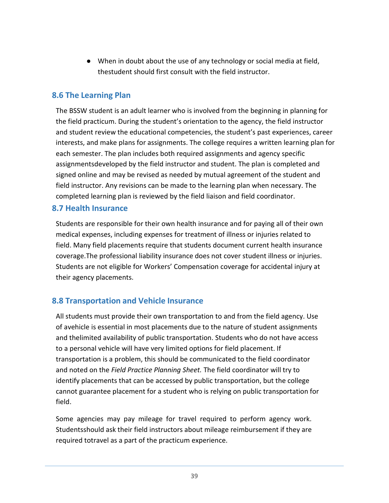● When in doubt about the use of any technology or social media at field, thestudent should first consult with the field instructor.

#### <span id="page-38-0"></span>**8.6 The Learning Plan**

The BSSW student is an adult learner who is involved from the beginning in planning for the field practicum. During the student's orientation to the agency, the field instructor and student review the educational competencies, the student's past experiences, career interests, and make plans for assignments. The college requires a written learning plan for each semester. The plan includes both required assignments and agency specific assignmentsdeveloped by the field instructor and student. The plan is completed and signed online and may be revised as needed by mutual agreement of the student and field instructor. Any revisions can be made to the learning plan when necessary. The completed learning plan is reviewed by the field liaison and field coordinator.

#### <span id="page-38-1"></span>**8.7 Health Insurance**

Students are responsible for their own health insurance and for paying all of their own medical expenses, including expenses for treatment of illness or injuries related to field. Many field placements require that students document current health insurance coverage.The professional liability insurance does not cover student illness or injuries. Students are not eligible for Workers' Compensation coverage for accidental injury at their agency placements.

## <span id="page-38-2"></span>**8.8 Transportation and Vehicle Insurance**

All students must provide their own transportation to and from the field agency. Use of avehicle is essential in most placements due to the nature of student assignments and thelimited availability of public transportation. Students who do not have access to a personal vehicle will have very limited options for field placement. If transportation is a problem, this should be communicated to the field coordinator and noted on the *Field Practice Planning Sheet.* The field coordinator will try to identify placements that can be accessed by public transportation, but the college cannot guarantee placement for a student who is relying on public transportation for field.

Some agencies may pay mileage for travel required to perform agency work. Studentsshould ask their field instructors about mileage reimbursement if they are required totravel as a part of the practicum experience.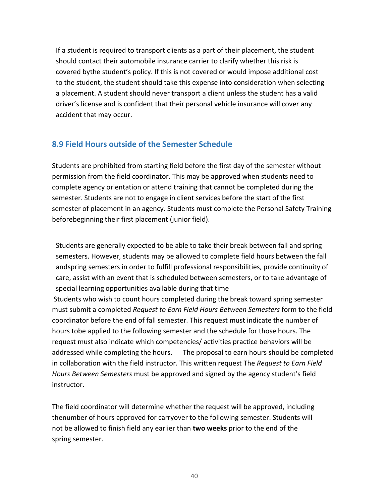If a student is required to transport clients as a part of their placement, the student should contact their automobile insurance carrier to clarify whether this risk is covered bythe student's policy. If this is not covered or would impose additional cost to the student, the student should take this expense into consideration when selecting a placement. A student should never transport a client unless the student has a valid driver's license and is confident that their personal vehicle insurance will cover any accident that may occur.

## <span id="page-39-0"></span>**8.9 Field Hours outside of the Semester Schedule**

Students are prohibited from starting field before the first day of the semester without permission from the field coordinator. This may be approved when students need to complete agency orientation or attend training that cannot be completed during the semester. Students are not to engage in client services before the start of the first semester of placement in an agency. Students must complete the Personal Safety Training beforebeginning their first placement (junior field).

Students are generally expected to be able to take their break between fall and spring semesters. However, students may be allowed to complete field hours between the fall andspring semesters in order to fulfill professional responsibilities, provide continuity of care, assist with an event that is scheduled between semesters, or to take advantage of special learning opportunities available during that time

Students who wish to count hours completed during the break toward spring semester must submit a completed *Request to Earn Field Hours Between Semesters* form to the field coordinator before the end of fall semester. This request must indicate the number of hours tobe applied to the following semester and the schedule for those hours. The request must also indicate which competencies/ activities practice behaviors will be addressed while completing the hours. The proposal to earn hours should be completed in collaboration with the field instructor. This written request The *Request to Earn Field Hours Between Semesters* must be approved and signed by the agency student's field instructor.

The field coordinator will determine whether the request will be approved, including thenumber of hours approved for carryover to the following semester. Students will not be allowed to finish field any earlier than **two weeks** prior to the end of the spring semester.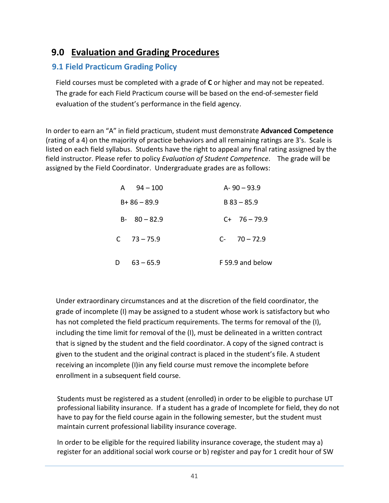## <span id="page-40-0"></span>**9.0 Evaluation and Grading Procedures**

## <span id="page-40-1"></span>**9.1 Field Practicum Grading Policy**

Field courses must be completed with a grade of **C** or higher and may not be repeated. The grade for each Field Practicum course will be based on the end-of-semester field evaluation of the student's performance in the field agency.

In order to earn an "A" in field practicum, student must demonstrate **Advanced Competence** (rating of a 4) on the majority of practice behaviors and all remaining ratings are 3's. Scale is listed on each field syllabus. Students have the right to appeal any final rating assigned by the field instructor. Please refer to policy *Evaluation of Student Competence*. The grade will be assigned by the Field Coordinator. Undergraduate grades are as follows:

| A $94 - 100$     | $A - 90 - 93.9$  |
|------------------|------------------|
| $B + 86 - 89.9$  | $B$ 83 – 85.9    |
| $B - 80 - 82.9$  | $C+ 76-79.9$     |
| $C = 73 - 75.9$  | $C - 70 - 72.9$  |
| $63 - 65.9$<br>D | F 59.9 and below |

Under extraordinary circumstances and at the discretion of the field coordinator, the grade of incomplete (I) may be assigned to a student whose work is satisfactory but who has not completed the field practicum requirements. The terms for removal of the (I), including the time limit for removal of the (I), must be delineated in a written contract that is signed by the student and the field coordinator. A copy of the signed contract is given to the student and the original contract is placed in the student's file. A student receiving an incomplete (I)in any field course must remove the incomplete before enrollment in a subsequent field course.

Students must be registered as a student (enrolled) in order to be eligible to purchase UT professional liability insurance. If a student has a grade of Incomplete for field, they do not have to pay for the field course again in the following semester, but the student must maintain current professional liability insurance coverage.

In order to be eligible for the required liability insurance coverage, the student may a) register for an additional social work course or b) register and pay for 1 credit hour of SW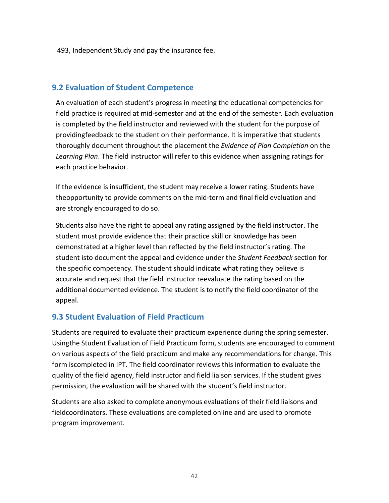493, Independent Study and pay the insurance fee.

## <span id="page-41-0"></span>**9.2 Evaluation of Student Competence**

An evaluation of each student's progress in meeting the educational competencies for field practice is required at mid-semester and at the end of the semester. Each evaluation is completed by the field instructor and reviewed with the student for the purpose of providingfeedback to the student on their performance. It is imperative that students thoroughly document throughout the placement the *Evidence of Plan Completion* on the *Learning Plan*. The field instructor will refer to this evidence when assigning ratings for each practice behavior.

If the evidence is insufficient, the student may receive a lower rating. Students have theopportunity to provide comments on the mid-term and final field evaluation and are strongly encouraged to do so.

Students also have the right to appeal any rating assigned by the field instructor. The student must provide evidence that their practice skill or knowledge has been demonstrated at a higher level than reflected by the field instructor's rating. The student isto document the appeal and evidence under the *Student Feedback* section for the specific competency. The student should indicate what rating they believe is accurate and request that the field instructor reevaluate the rating based on the additional documented evidence. The student is to notify the field coordinator of the appeal.

## <span id="page-41-1"></span>**9.3 Student Evaluation of Field Practicum**

Students are required to evaluate their practicum experience during the spring semester. Usingthe Student Evaluation of Field Practicum form, students are encouraged to comment on various aspects of the field practicum and make any recommendations for change. This form iscompleted in IPT. The field coordinator reviews this information to evaluate the quality of the field agency, field instructor and field liaison services. If the student gives permission, the evaluation will be shared with the student's field instructor.

Students are also asked to complete anonymous evaluations of their field liaisons and fieldcoordinators. These evaluations are completed online and are used to promote program improvement.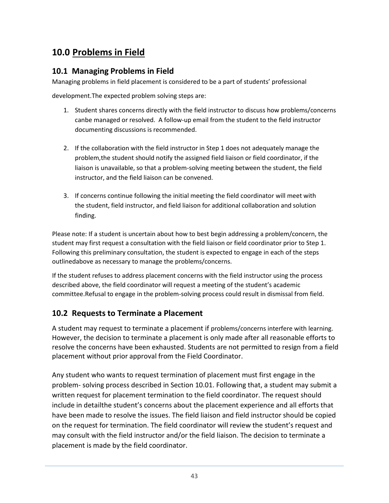# <span id="page-42-0"></span>**10.0 Problems in Field**

## <span id="page-42-1"></span>**10.1 Managing Problems in Field**

Managing problems in field placement is considered to be a part of students' professional

development.The expected problem solving steps are:

- 1. Student shares concerns directly with the field instructor to discuss how problems/concerns canbe managed or resolved. A follow-up email from the student to the field instructor documenting discussions is recommended.
- 2. If the collaboration with the field instructor in Step 1 does not adequately manage the problem,the student should notify the assigned field liaison or field coordinator, if the liaison is unavailable, so that a problem-solving meeting between the student, the field instructor, and the field liaison can be convened.
- 3. If concerns continue following the initial meeting the field coordinator will meet with the student, field instructor, and field liaison for additional collaboration and solution finding.

Please note: If a student is uncertain about how to best begin addressing a problem/concern, the student may first request a consultation with the field liaison or field coordinator prior to Step 1. Following this preliminary consultation, the student is expected to engage in each of the steps outlinedabove as necessary to manage the problems/concerns.

If the student refuses to address placement concerns with the field instructor using the process described above, the field coordinator will request a meeting of the student's academic committee.Refusal to engage in the problem-solving process could result in dismissal from field.

## <span id="page-42-2"></span>**10.2 Requests to Terminate a Placement**

A student may request to terminate a placement if problems/concerns interfere with learning. However, the decision to terminate a placement is only made after all reasonable efforts to resolve the concerns have been exhausted. Students are not permitted to resign from a field placement without prior approval from the Field Coordinator.

Any student who wants to request termination of placement must first engage in the problem- solving process described in Section 10.01. Following that, a student may submit a written request for placement termination to the field coordinator. The request should include in detailthe student's concerns about the placement experience and all efforts that have been made to resolve the issues. The field liaison and field instructor should be copied on the request for termination. The field coordinator will review the student's request and may consult with the field instructor and/or the field liaison. The decision to terminate a placement is made by the field coordinator.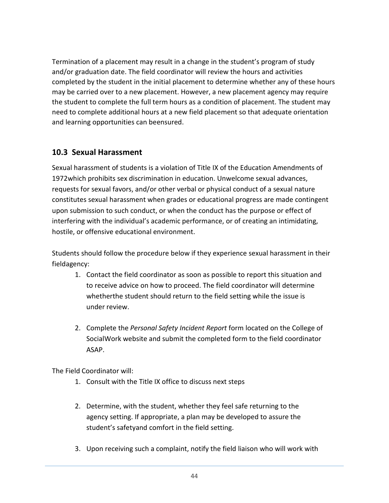Termination of a placement may result in a change in the student's program of study and/or graduation date. The field coordinator will review the hours and activities completed by the student in the initial placement to determine whether any of these hours may be carried over to a new placement. However, a new placement agency may require the student to complete the full term hours as a condition of placement. The student may need to complete additional hours at a new field placement so that adequate orientation and learning opportunities can beensured.

## <span id="page-43-0"></span>**10.3 Sexual Harassment**

Sexual harassment of students is a violation of Title IX of the Education Amendments of 1972which prohibits sex discrimination in education. Unwelcome sexual advances, requests for sexual favors, and/or other verbal or physical conduct of a sexual nature constitutes sexual harassment when grades or educational progress are made contingent upon submission to such conduct, or when the conduct has the purpose or effect of interfering with the individual's academic performance, or of creating an intimidating, hostile, or offensive educational environment.

Students should follow the procedure below if they experience sexual harassment in their fieldagency:

- 1. Contact the field coordinator as soon as possible to report this situation and to receive advice on how to proceed. The field coordinator will determine whetherthe student should return to the field setting while the issue is under review.
- 2. Complete the *Personal Safety Incident Report* form located on the College of SocialWork website and submit the completed form to the field coordinator ASAP.

The Field Coordinator will:

- 1. Consult with the Title IX office to discuss next steps
- 2. Determine, with the student, whether they feel safe returning to the agency setting. If appropriate, a plan may be developed to assure the student's safetyand comfort in the field setting.
- 3. Upon receiving such a complaint, notify the field liaison who will work with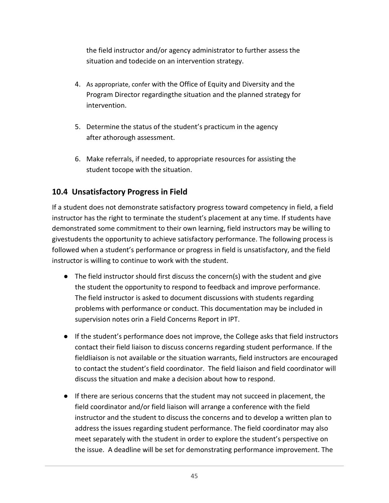the field instructor and/or agency administrator to further assess the situation and todecide on an intervention strategy.

- 4. As appropriate, confer with the Office of Equity and Diversity and the Program Director regardingthe situation and the planned strategy for intervention.
- 5. Determine the status of the student's practicum in the agency after athorough assessment.
- 6. Make referrals, if needed, to appropriate resources for assisting the student tocope with the situation.

## <span id="page-44-0"></span>**10.4 Unsatisfactory Progress in Field**

If a student does not demonstrate satisfactory progress toward competency in field, a field instructor has the right to terminate the student's placement at any time. If students have demonstrated some commitment to their own learning, field instructors may be willing to givestudents the opportunity to achieve satisfactory performance. The following process is followed when a student's performance or progress in field is unsatisfactory, and the field instructor is willing to continue to work with the student.

- The field instructor should first discuss the concern(s) with the student and give the student the opportunity to respond to feedback and improve performance. The field instructor is asked to document discussions with students regarding problems with performance or conduct. This documentation may be included in supervision notes orin a Field Concerns Report in IPT.
- If the student's performance does not improve, the College asks that field instructors contact their field liaison to discuss concerns regarding student performance. If the fieldliaison is not available or the situation warrants, field instructors are encouraged to contact the student's field coordinator. The field liaison and field coordinator will discuss the situation and make a decision about how to respond.
- If there are serious concerns that the student may not succeed in placement, the field coordinator and/or field liaison will arrange a conference with the field instructor and the student to discuss the concerns and to develop a written plan to address the issues regarding student performance. The field coordinator may also meet separately with the student in order to explore the student's perspective on the issue. A deadline will be set for demonstrating performance improvement. The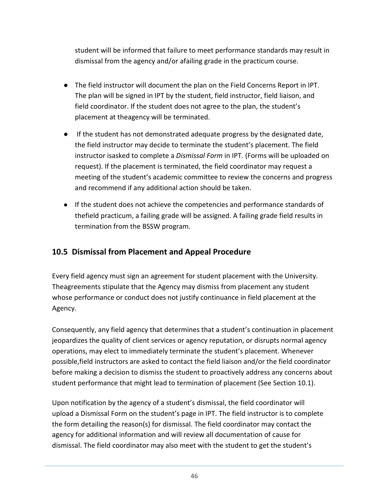student will be informed that failure to meet performance standards may result in dismissal from the agency and/or afailing grade in the practicum course.

- The field instructor will document the plan on the Field Concerns Report in IPT. The plan will be signed in IPT by the student, field instructor, field liaison, and field coordinator. If the student does not agree to the plan, the student's placement at theagency will be terminated.
- If the student has not demonstrated adequate progress by the designated date, the field instructor may decide to terminate the student's placement. The field instructor isasked to complete a *Dismissal Form* in IPT. (Forms will be uploaded on request). If the placement is terminated, the field coordinator may request a meeting of the student's academic committee to review the concerns and progress and recommend if any additional action should be taken.
- If the student does not achieve the competencies and performance standards of thefield practicum, a failing grade will be assigned. A failing grade field results in termination from the BSSW program.

## <span id="page-45-0"></span>**10.5 Dismissal from Placement and Appeal Procedure**

Every field agency must sign an agreement for student placement with the University. Theagreements stipulate that the Agency may dismiss from placement any student whose performance or conduct does not justify continuance in field placement at the Agency.

Consequently, any field agency that determines that a student's continuation in placement jeopardizes the quality of client services or agency reputation, or disrupts normal agency operations, may elect to immediately terminate the student's placement. Whenever possible,field instructors are asked to contact the field liaison and/or the field coordinator before making a decision to dismiss the student to proactively address any concerns about student performance that might lead to termination of placement (See Section 10.1).

Upon notification by the agency of a student's dismissal, the field coordinator will upload a Dismissal Form on the student's page in IPT. The field instructor is to complete the form detailing the reason(s) for dismissal. The field coordinator may contact the agency for additional information and will review all documentation of cause for dismissal. The field coordinator may also meet with the student to get the student's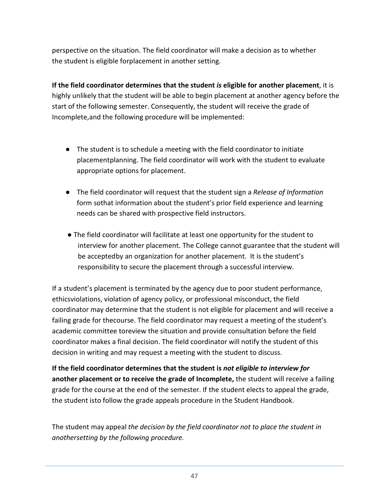perspective on the situation. The field coordinator will make a decision as to whether the student is eligible forplacement in another setting.

**If the field coordinator determines that the student** *is* **eligible for another placement**, it is highly unlikely that the student will be able to begin placement at another agency before the start of the following semester. Consequently, the student will receive the grade of Incomplete,and the following procedure will be implemented:

- The student is to schedule a meeting with the field coordinator to initiate placementplanning. The field coordinator will work with the student to evaluate appropriate options for placement.
- The field coordinator will request that the student sign a *Release of Information*  form sothat information about the student's prior field experience and learning needs can be shared with prospective field instructors.
- The field coordinator will facilitate at least one opportunity for the student to interview for another placement. The College cannot guarantee that the student will be acceptedby an organization for another placement. It is the student's responsibility to secure the placement through a successful interview.

If a student's placement is terminated by the agency due to poor student performance, ethicsviolations, violation of agency policy, or professional misconduct, the field coordinator may determine that the student is not eligible for placement and will receive a failing grade for thecourse. The field coordinator may request a meeting of the student's academic committee toreview the situation and provide consultation before the field coordinator makes a final decision. The field coordinator will notify the student of this decision in writing and may request a meeting with the student to discuss.

**If the field coordinator determines that the student is** *not eligible to interview for*  **another placement or to receive the grade of Incomplete,** the student will receive a failing grade for the course at the end of the semester. If the student elects to appeal the grade, the student isto follow the grade appeals procedure in the Student Handbook.

The student may appeal *the decision by the field coordinator not to place the student in anothersetting by the following procedure.*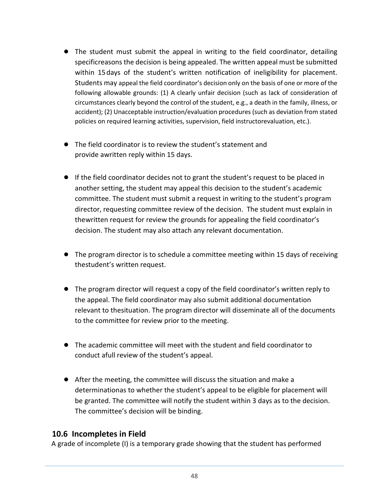- The student must submit the appeal in writing to the field coordinator, detailing specificreasons the decision is being appealed. The written appeal must be submitted within 15days of the student's written notification of ineligibility for placement. Students may appeal the field coordinator's decision only on the basis of one or more of the following allowable grounds: (1) A clearly unfair decision (such as lack of consideration of circumstances clearly beyond the control of the student, e.g., a death in the family, illness, or accident); (2) Unacceptable instruction/evaluation procedures (such as deviation from stated policies on required learning activities, supervision, field instructorevaluation, etc.).
- The field coordinator is to review the student's statement and provide awritten reply within 15 days.
- If the field coordinator decides not to grant the student's request to be placed in another setting, the student may appeal this decision to the student's academic committee. The student must submit a request in writing to the student's program director, requesting committee review of the decision. The student must explain in thewritten request for review the grounds for appealing the field coordinator's decision. The student may also attach any relevant documentation.
- The program director is to schedule a committee meeting within 15 days of receiving thestudent's written request.
- The program director will request a copy of the field coordinator's written reply to the appeal. The field coordinator may also submit additional documentation relevant to thesituation. The program director will disseminate all of the documents to the committee for review prior to the meeting.
- The academic committee will meet with the student and field coordinator to conduct afull review of the student's appeal.
- After the meeting, the committee will discuss the situation and make a determinationas to whether the student's appeal to be eligible for placement will be granted. The committee will notify the student within 3 days as to the decision. The committee's decision will be binding.

#### <span id="page-47-0"></span>**10.6 Incompletes in Field**

A grade of incomplete (I) is a temporary grade showing that the student has performed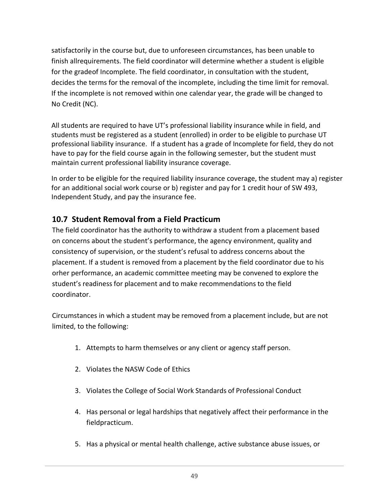satisfactorily in the course but, due to unforeseen circumstances, has been unable to finish allrequirements. The field coordinator will determine whether a student is eligible for the gradeof Incomplete. The field coordinator, in consultation with the student, decides the terms for the removal of the incomplete, including the time limit for removal. If the incomplete is not removed within one calendar year, the grade will be changed to No Credit (NC).

All students are required to have UT's professional liability insurance while in field, and students must be registered as a student (enrolled) in order to be eligible to purchase UT professional liability insurance. If a student has a grade of Incomplete for field, they do not have to pay for the field course again in the following semester, but the student must maintain current professional liability insurance coverage.

In order to be eligible for the required liability insurance coverage, the student may a) register for an additional social work course or b) register and pay for 1 credit hour of SW 493, Independent Study, and pay the insurance fee.

## <span id="page-48-0"></span>**10.7 Student Removal from a Field Practicum**

The field coordinator has the authority to withdraw a student from a placement based on concerns about the student's performance, the agency environment, quality and consistency of supervision, or the student's refusal to address concerns about the placement. If a student is removed from a placement by the field coordinator due to his orher performance, an academic committee meeting may be convened to explore the student's readiness for placement and to make recommendations to the field coordinator.

Circumstances in which a student may be removed from a placement include, but are not limited, to the following:

- 1. Attempts to harm themselves or any client or agency staff person.
- 2. Violates the NASW Code of Ethics
- 3. Violates the College of Social Work Standards of Professional Conduct
- 4. Has personal or legal hardships that negatively affect their performance in the fieldpracticum.
- 5. Has a physical or mental health challenge, active substance abuse issues, or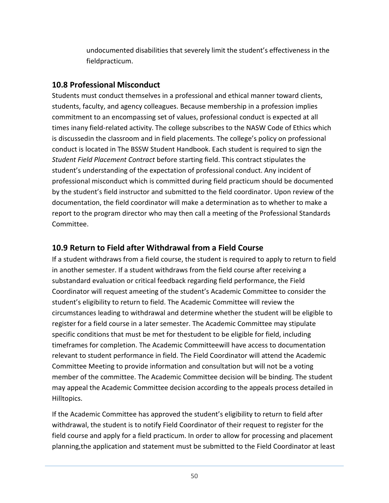undocumented disabilities that severely limit the student's effectiveness in the fieldpracticum.

## <span id="page-49-0"></span>**10.8 Professional Misconduct**

Students must conduct themselves in a professional and ethical manner toward clients, students, faculty, and agency colleagues. Because membership in a profession implies commitment to an encompassing set of values, professional conduct is expected at all times inany field-related activity. The college subscribes to the NASW Code of Ethics which is discussedin the classroom and in field placements. The college's policy on professional conduct is located in The BSSW Student Handbook. Each student is required to sign the *Student Field Placement Contract* before starting field. This contract stipulates the student's understanding of the expectation of professional conduct. Any incident of professional misconduct which is committed during field practicum should be documented by the student's field instructor and submitted to the field coordinator. Upon review of the documentation, the field coordinator will make a determination as to whether to make a report to the program director who may then call a meeting of the Professional Standards Committee.

## <span id="page-49-1"></span>**10.9 Return to Field after Withdrawal from a Field Course**

If a student withdraws from a field course, the student is required to apply to return to field in another semester. If a student withdraws from the field course after receiving a substandard evaluation or critical feedback regarding field performance, the Field Coordinator will request ameeting of the student's Academic Committee to consider the student's eligibility to return to field. The Academic Committee will review the circumstances leading to withdrawal and determine whether the student will be eligible to register for a field course in a later semester. The Academic Committee may stipulate specific conditions that must be met for thestudent to be eligible for field, including timeframes for completion. The Academic Committeewill have access to documentation relevant to student performance in field. The Field Coordinator will attend the Academic Committee Meeting to provide information and consultation but will not be a voting member of the committee. The Academic Committee decision will be binding. The student may appeal the Academic Committee decision according to the appeals process detailed in Hilltopics.

If the Academic Committee has approved the student's eligibility to return to field after withdrawal, the student is to notify Field Coordinator of their request to register for the field course and apply for a field practicum. In order to allow for processing and placement planning,the application and statement must be submitted to the Field Coordinator at least